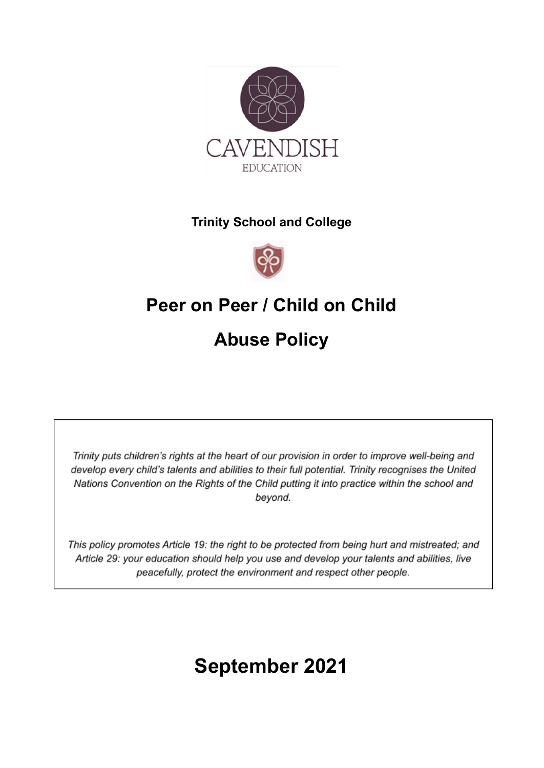

#### **Trinity School and College**



# **Peer on Peer / Child on Child Abuse Policy**

Trinity puts children's rights at the heart of our provision in order to improve well-being and develop every child's talents and abilities to their full potential. Trinity recognises the United Nations Convention on the Rights of the Child putting it into practice within the school and beyond.

This policy promotes Article 19: the right to be protected from being hurt and mistreated; and Article 29: your education should help you use and develop your talents and abilities, live peacefully, protect the environment and respect other people.

# **September 2021**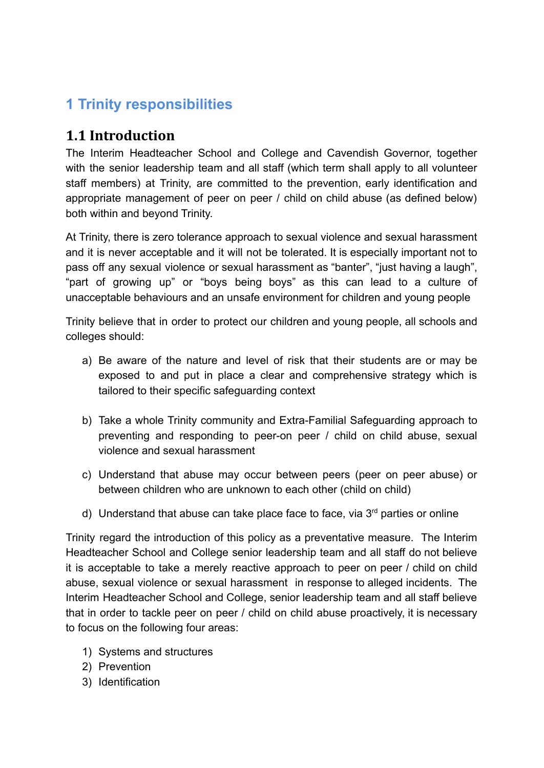## **1 Trinity responsibilities**

#### **1.1 Introduction**

The Interim Headteacher School and College and Cavendish Governor, together with the senior leadership team and all staff (which term shall apply to all volunteer staff members) at Trinity, are committed to the prevention, early identification and appropriate management of peer on peer / child on child abuse (as defined below) both within and beyond Trinity.

At Trinity, there is zero tolerance approach to sexual violence and sexual harassment and it is never acceptable and it will not be tolerated. It is especially important not to pass off any sexual violence or sexual harassment as "banter", "just having a laugh", "part of growing up" or "boys being boys" as this can lead to a culture of unacceptable behaviours and an unsafe environment for children and young people

Trinity believe that in order to protect our children and young people, all schools and colleges should:

- a) Be aware of the nature and level of risk that their students are or may be exposed to and put in place a clear and comprehensive strategy which is tailored to their specific safeguarding context
- b) Take a whole Trinity community and Extra-Familial Safeguarding approach to preventing and responding to peer-on peer / child on child abuse, sexual violence and sexual harassment
- c) Understand that abuse may occur between peers (peer on peer abuse) or between children who are unknown to each other (child on child)
- d) Understand that abuse can take place face to face, via  $3<sup>rd</sup>$  parties or online

Trinity regard the introduction of this policy as a preventative measure. The Interim Headteacher School and College senior leadership team and all staff do not believe it is acceptable to take a merely reactive approach to peer on peer / child on child abuse, sexual violence or sexual harassment in response to alleged incidents. The Interim Headteacher School and College, senior leadership team and all staff believe that in order to tackle peer on peer / child on child abuse proactively, it is necessary to focus on the following four areas:

- 1) Systems and structures
- 2) Prevention
- 3) Identification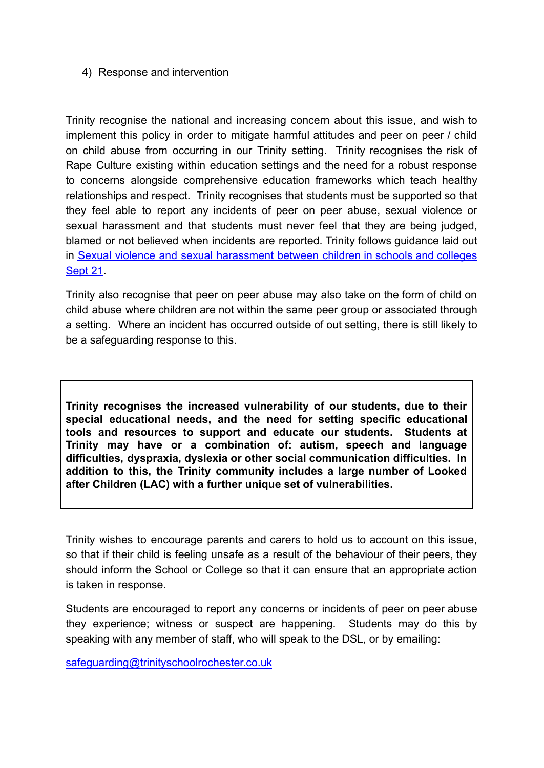#### 4) Response and intervention

Trinity recognise the national and increasing concern about this issue, and wish to implement this policy in order to mitigate harmful attitudes and peer on peer / child on child abuse from occurring in our Trinity setting. Trinity recognises the risk of Rape Culture existing within education settings and the need for a robust response to concerns alongside comprehensive education frameworks which teach healthy relationships and respect. Trinity recognises that students must be supported so that they feel able to report any incidents of peer on peer abuse, sexual violence or sexual harassment and that students must never feel that they are being judged, blamed or not believed when incidents are reported. Trinity follows guidance laid out in Sexual violence and sexual [harassment](https://assets.publishing.service.gov.uk/government/uploads/system/uploads/attachment_data/file/999239/SVSH_2021.pdf) between children in schools and colleges [Sept 21](https://assets.publishing.service.gov.uk/government/uploads/system/uploads/attachment_data/file/999239/SVSH_2021.pdf).

Trinity also recognise that peer on peer abuse may also take on the form of child on child abuse where children are not within the same peer group or associated through a setting. Where an incident has occurred outside of out setting, there is still likely to be a safeguarding response to this.

**Trinity recognises the increased vulnerability of our students, due to their special educational needs, and the need for setting specific educational tools and resources to support and educate our students. Students at Trinity may have or a combination of: autism, speech and language difficulties, dyspraxia, dyslexia or other social communication difficulties. In addition to this, the Trinity community includes a large number of Looked after Children (LAC) with a further unique set of vulnerabilities.**

Trinity wishes to encourage parents and carers to hold us to account on this issue, so that if their child is feeling unsafe as a result of the behaviour of their peers, they should inform the School or College so that it can ensure that an appropriate action is taken in response.

Students are encouraged to report any concerns or incidents of peer on peer abuse they experience; witness or suspect are happening. Students may do this by speaking with any member of staff, who will speak to the DSL, or by emailing:

[safeguarding@trinityschoolrochester.co.uk](mailto:safeguarding@trinityschoolrochester.co.uk)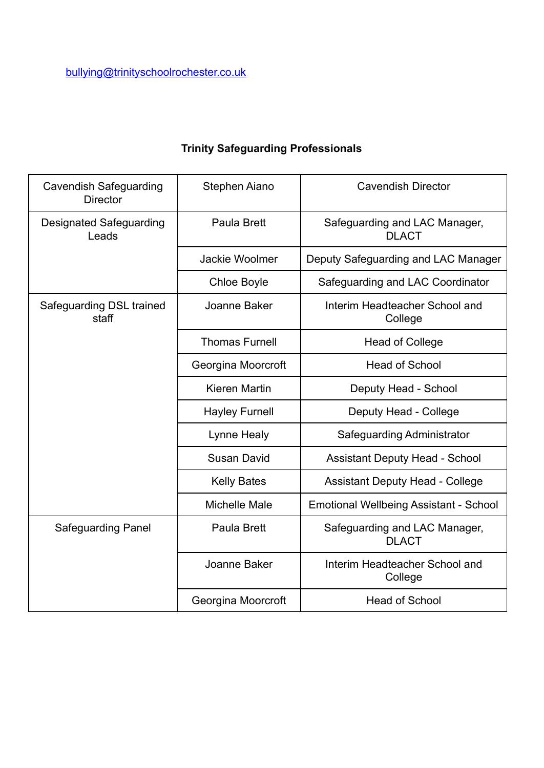| <b>Cavendish Safeguarding</b><br><b>Director</b> | Stephen Aiano         | <b>Cavendish Director</b>                     |
|--------------------------------------------------|-----------------------|-----------------------------------------------|
| <b>Designated Safeguarding</b><br>Leads          | Paula Brett           | Safeguarding and LAC Manager,<br><b>DLACT</b> |
|                                                  | <b>Jackie Woolmer</b> | Deputy Safeguarding and LAC Manager           |
|                                                  | <b>Chloe Boyle</b>    | Safeguarding and LAC Coordinator              |
| Safeguarding DSL trained<br>staff                | Joanne Baker          | Interim Headteacher School and<br>College     |
|                                                  | <b>Thomas Furnell</b> | <b>Head of College</b>                        |
|                                                  | Georgina Moorcroft    | <b>Head of School</b>                         |
|                                                  | Kieren Martin         | Deputy Head - School                          |
|                                                  | <b>Hayley Furnell</b> | Deputy Head - College                         |
|                                                  | Lynne Healy           | Safeguarding Administrator                    |
|                                                  | <b>Susan David</b>    | <b>Assistant Deputy Head - School</b>         |
|                                                  | <b>Kelly Bates</b>    | <b>Assistant Deputy Head - College</b>        |
|                                                  | <b>Michelle Male</b>  | Emotional Wellbeing Assistant - School        |
| <b>Safeguarding Panel</b>                        | Paula Brett           | Safeguarding and LAC Manager,<br><b>DLACT</b> |
|                                                  | Joanne Baker          | Interim Headteacher School and<br>College     |
|                                                  | Georgina Moorcroft    | <b>Head of School</b>                         |

## **Trinity Safeguarding Professionals**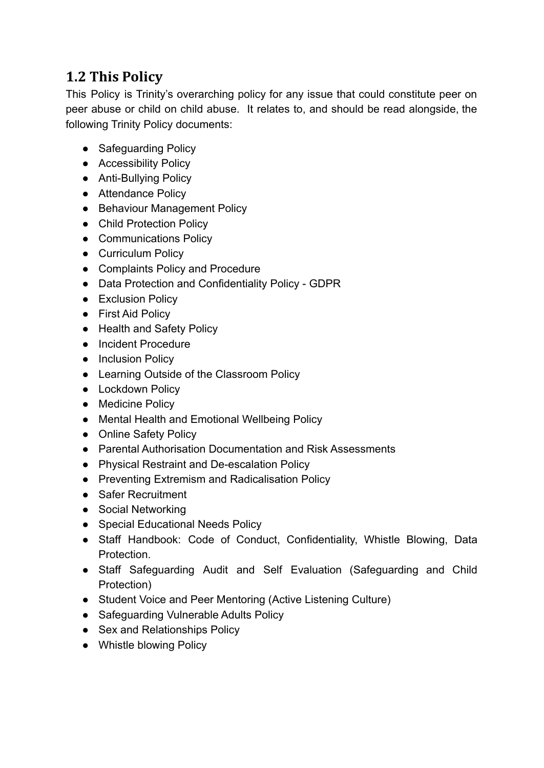### **1.2 This Policy**

This Policy is Trinity's overarching policy for any issue that could constitute peer on peer abuse or child on child abuse. It relates to, and should be read alongside, the following Trinity Policy documents:

- Safeguarding Policy
- Accessibility Policy
- Anti-Bullying Policy
- Attendance Policy
- Behaviour Management Policy
- Child Protection Policy
- Communications Policy
- Curriculum Policy
- Complaints Policy and Procedure
- Data Protection and Confidentiality Policy GDPR
- Exclusion Policy
- First Aid Policy
- Health and Safety Policy
- Incident Procedure
- Inclusion Policy
- Learning Outside of the Classroom Policy
- Lockdown Policy
- Medicine Policy
- Mental Health and Emotional Wellbeing Policy
- Online Safety Policy
- Parental Authorisation Documentation and Risk Assessments
- Physical Restraint and De-escalation Policy
- Preventing Extremism and Radicalisation Policy
- Safer Recruitment
- Social Networking
- Special Educational Needs Policy
- Staff Handbook: Code of Conduct, Confidentiality, Whistle Blowing, Data Protection.
- Staff Safeguarding Audit and Self Evaluation (Safeguarding and Child Protection)
- Student Voice and Peer Mentoring (Active Listening Culture)
- Safeguarding Vulnerable Adults Policy
- Sex and Relationships Policy
- Whistle blowing Policy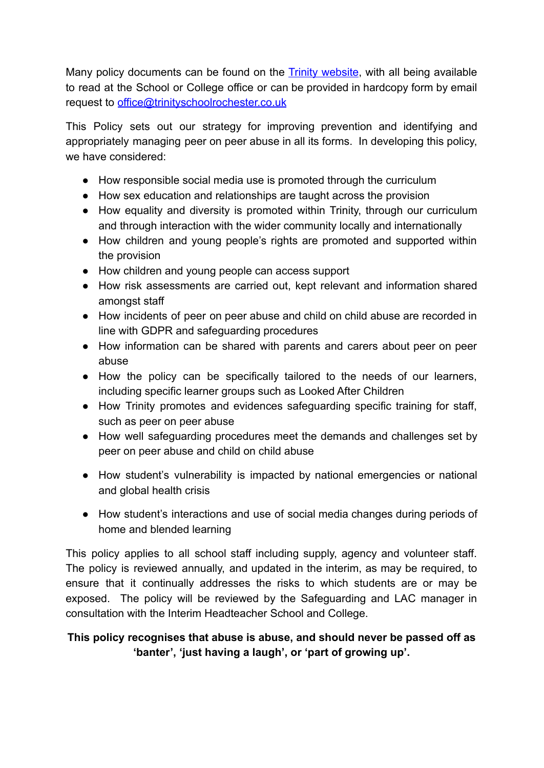Many policy documents can be found on the **Trinity [website](http://www.trinityschoolrochester.co.uk/)**, with all being available to read at the School or College office or can be provided in hardcopy form by email request to [office@trinityschoolrochester.co.uk](mailto:office@trinityschoolrochester.co.uk)

This Policy sets out our strategy for improving prevention and identifying and appropriately managing peer on peer abuse in all its forms. In developing this policy, we have considered:

- How responsible social media use is promoted through the curriculum
- How sex education and relationships are taught across the provision
- How equality and diversity is promoted within Trinity, through our curriculum and through interaction with the wider community locally and internationally
- How children and young people's rights are promoted and supported within the provision
- How children and young people can access support
- How risk assessments are carried out, kept relevant and information shared amongst staff
- How incidents of peer on peer abuse and child on child abuse are recorded in line with GDPR and safeguarding procedures
- How information can be shared with parents and carers about peer on peer abuse
- How the policy can be specifically tailored to the needs of our learners, including specific learner groups such as Looked After Children
- How Trinity promotes and evidences safeguarding specific training for staff, such as peer on peer abuse
- How well safeguarding procedures meet the demands and challenges set by peer on peer abuse and child on child abuse
- How student's vulnerability is impacted by national emergencies or national and global health crisis
- How student's interactions and use of social media changes during periods of home and blended learning

This policy applies to all school staff including supply, agency and volunteer staff. The policy is reviewed annually, and updated in the interim, as may be required, to ensure that it continually addresses the risks to which students are or may be exposed. The policy will be reviewed by the Safeguarding and LAC manager in consultation with the Interim Headteacher School and College.

#### **This policy recognises that abuse is abuse, and should never be passed off as 'banter', 'just having a laugh', or 'part of growing up'.**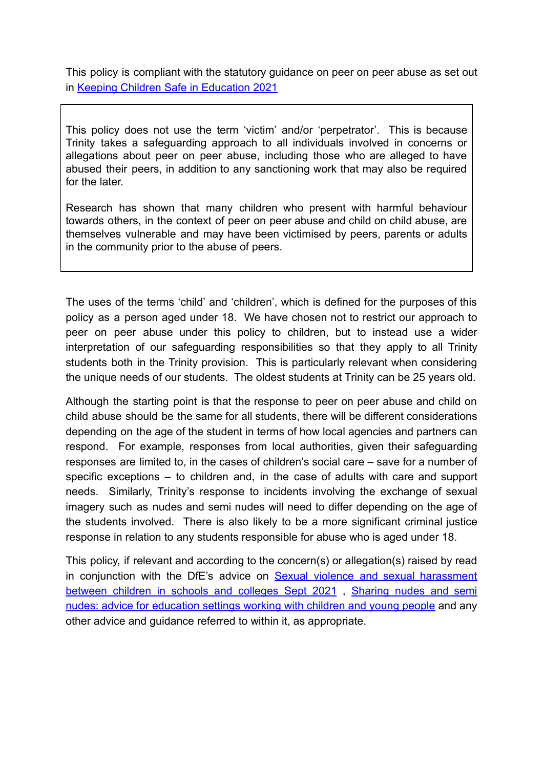This policy is compliant with the statutory guidance on peer on peer abuse as set out in [Keeping Children Safe in Education 2021](https://assets.publishing.service.gov.uk/government/uploads/system/uploads/attachment_data/file/999348/Keeping_children_safe_in_education_2021.pdf)

This policy does not use the term 'victim' and/or 'perpetrator'. This is because Trinity takes a safeguarding approach to all individuals involved in concerns or allegations about peer on peer abuse, including those who are alleged to have abused their peers, in addition to any sanctioning work that may also be required for the later.

Research has shown that many children who present with harmful behaviour towards others, in the context of peer on peer abuse and child on child abuse, are themselves vulnerable and may have been victimised by peers, parents or adults in the community prior to the abuse of peers.

The uses of the terms 'child' and 'children', which is defined for the purposes of this policy as a person aged under 18. We have chosen not to restrict our approach to peer on peer abuse under this policy to children, but to instead use a wider interpretation of our safeguarding responsibilities so that they apply to all Trinity students both in the Trinity provision. This is particularly relevant when considering the unique needs of our students. The oldest students at Trinity can be 25 years old.

Although the starting point is that the response to peer on peer abuse and child on child abuse should be the same for all students, there will be different considerations depending on the age of the student in terms of how local agencies and partners can respond. For example, responses from local authorities, given their safeguarding responses are limited to, in the cases of children's social care – save for a number of specific exceptions – to children and, in the case of adults with care and support needs. Similarly, Trinity's response to incidents involving the exchange of sexual imagery such as nudes and semi nudes will need to differ depending on the age of the students involved. There is also likely to be a more significant criminal justice response in relation to any students responsible for abuse who is aged under 18.

This policy, if relevant and according to the concern(s) or allegation(s) raised by read in conjunction with the DfE's advice on Sexual violence and sexual [harassment](https://assets.publishing.service.gov.uk/government/uploads/system/uploads/attachment_data/file/999239/SVSH_2021.pdf) [between](https://assets.publishing.service.gov.uk/government/uploads/system/uploads/attachment_data/file/999239/SVSH_2021.pdf) children in schools and colleges Sept 2021, [Sharing](https://www.gov.uk/government/publications/sharing-nudes-and-semi-nudes-advice-for-education-settings-working-with-children-and-young-people/sharing-nudes-and-semi-nudes-advice-for-education-settings-working-with-children-and-young-people) nudes and semi nudes: advice for [education](https://www.gov.uk/government/publications/sharing-nudes-and-semi-nudes-advice-for-education-settings-working-with-children-and-young-people/sharing-nudes-and-semi-nudes-advice-for-education-settings-working-with-children-and-young-people) settings working with children and young people and any other advice and guidance referred to within it, as appropriate.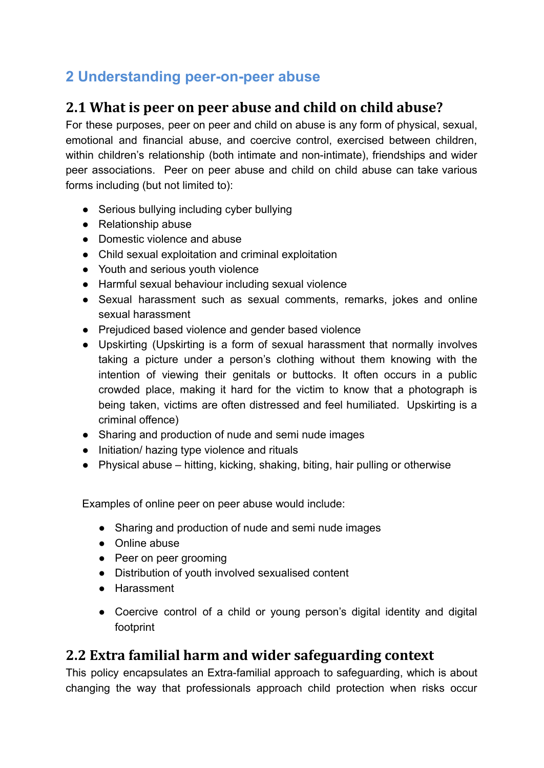## **2 Understanding peer-on-peer abuse**

#### **2.1 What is peer on peer abuse and child on child abuse?**

For these purposes, peer on peer and child on abuse is any form of physical, sexual, emotional and financial abuse, and coercive control, exercised between children, within children's relationship (both intimate and non-intimate), friendships and wider peer associations. Peer on peer abuse and child on child abuse can take various forms including (but not limited to):

- Serious bullying including cyber bullying
- [Relationship abuse](https://www.disrespectnobody.co.uk/relationship-abuse/what-is-relationship-abuse/)
- Domestic violence and abuse
- Child sexual exploitation and criminal exploitation
- Youth and serious youth violence
- Harmful sexual behaviour including sexual violence
- Sexual harassment such as sexual comments, remarks, jokes and online sexual harassment
- Prejudiced based violence and gender based violence
- Upskirting (Upskirting is a form of sexual harassment that normally involves taking a picture under a person's clothing without them knowing with the intention of viewing their genitals or buttocks. It often occurs in a public crowded place, making it hard for the victim to know that a photograph is being taken, victims are often distressed and feel humiliated. Upskirting is a criminal offence)
- Sharing and production of nude and semi nude images
- Initiation/ hazing type violence and rituals
- Physical abuse hitting, kicking, shaking, biting, hair pulling or otherwise

Examples of online peer on peer abuse would include:

- Sharing and production of nude and semi nude images
- Online abuse
- Peer on peer grooming
- Distribution of youth involved sexualised content
- Harassment
- Coercive control of a child or young person's digital identity and digital footprint

### **2.2 Extra familial harm and wider safeguarding context**

This policy encapsulates an Extra-familial approach to safeguarding, which is about changing the way that professionals approach child protection when risks occur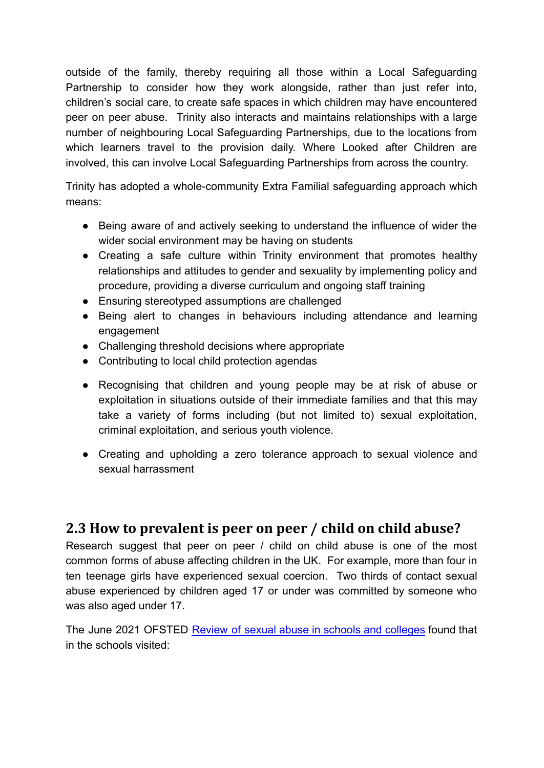outside of the family, thereby requiring all those within a Local Safeguarding Partnership to consider how they work alongside, rather than just refer into, children's social care, to create safe spaces in which children may have encountered peer on peer abuse. Trinity also interacts and maintains relationships with a large number of neighbouring Local Safeguarding Partnerships, due to the locations from which learners travel to the provision daily. Where Looked after Children are involved, this can involve Local Safeguarding Partnerships from across the country.

Trinity has adopted a whole-community Extra Familial safeguarding approach which means:

- Being aware of and actively seeking to understand the influence of wider the wider social environment may be having on students
- Creating a safe culture within Trinity environment that promotes healthy relationships and attitudes to gender and sexuality by implementing policy and procedure, providing a diverse curriculum and ongoing staff training
- Ensuring stereotyped assumptions are challenged
- Being alert to changes in behaviours including attendance and learning engagement
- Challenging threshold decisions where appropriate
- Contributing to local child protection agendas
- Recognising that children and young people may be at risk of abuse or exploitation in situations outside of their immediate families and that this may take a variety of forms including (but not limited to) sexual exploitation, criminal exploitation, and serious youth violence.
- Creating and upholding a zero tolerance approach to sexual violence and sexual harrassment

#### **2.3 How to prevalent is peer on peer / child on child abuse?**

Research suggest that peer on peer / child on child abuse is one of the most common forms of abuse affecting children in the UK. For example, more than four in ten teenage girls have experienced sexual coercion. Two thirds of contact sexual abuse experienced by children aged 17 or under was committed by someone who was also aged under 17.

The June 2021 OFSTED Review of sexual abuse in schools and [colleges](https://www.gov.uk/government/publications/review-of-sexual-abuse-in-schools-and-colleges/review-of-sexual-abuse-in-schools-and-colleges) found that in the schools visited: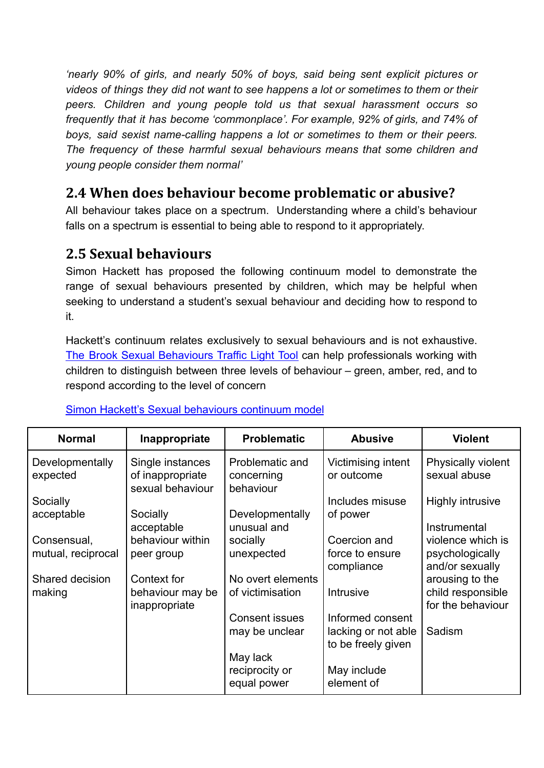*'nearly 90% of girls, and nearly 50% of boys, said being sent explicit pictures or videos of things they did not want to see happens a lot or sometimes to them or their peers. Children and young people told us that sexual harassment occurs so frequently that it has become 'commonplace'. For example, 92% of girls, and 74% of boys, said sexist name-calling happens a lot or sometimes to them or their peers. The frequency of these harmful sexual behaviours means that some children and young people consider them normal'*

#### **2.4 When does behaviour become problematic or abusive?**

All behaviour takes place on a spectrum. Understanding where a child's behaviour falls on a spectrum is essential to being able to respond to it appropriately.

### **2.5 Sexual behaviours**

Simon Hackett has proposed the following continuum model to demonstrate the range of sexual behaviours presented by children, which may be helpful when seeking to understand a student's sexual behaviour and deciding how to respond to it.

Hackett's continuum relates exclusively to sexual behaviours and is not exhaustive. The Brook Sexual [Behaviours](https://www.brook.org.uk/our-work/the-sexual-behaviours-traffic-light-tool) Traffic Light Tool can help professionals working with children to distinguish between three levels of behaviour – green, amber, red, and to respond according to the level of concern

| <b>Normal</b>               | Inappropriate                                            | <b>Problematic</b>                         | <b>Abusive</b>                                                | <b>Violent</b>                       |
|-----------------------------|----------------------------------------------------------|--------------------------------------------|---------------------------------------------------------------|--------------------------------------|
| Developmentally<br>expected | Single instances<br>of inappropriate<br>sexual behaviour | Problematic and<br>concerning<br>behaviour | Victimising intent<br>or outcome                              | Physically violent<br>sexual abuse   |
| Socially<br>acceptable      | Socially                                                 | Developmentally                            | Includes misuse<br>of power                                   | <b>Highly intrusive</b>              |
| Consensual,                 | acceptable<br>behaviour within                           | unusual and<br>socially                    | Coercion and                                                  | Instrumental<br>violence which is    |
| mutual, reciprocal          | peer group                                               | unexpected                                 | force to ensure<br>compliance                                 | psychologically<br>and/or sexually   |
| Shared decision<br>making   | Context for<br>behaviour may be                          | No overt elements<br>of victimisation      | Intrusive                                                     | arousing to the<br>child responsible |
|                             | inappropriate                                            |                                            |                                                               | for the behaviour                    |
|                             |                                                          | Consent issues<br>may be unclear           | Informed consent<br>lacking or not able<br>to be freely given | Sadism                               |
|                             |                                                          | May lack<br>reciprocity or<br>equal power  | May include<br>element of                                     |                                      |

#### [Simon Hackett's Sexual behaviours continuum model](https://www.contextualsafeguarding.org.uk/assets/documents/HSB-Groups-Briefing.pdf)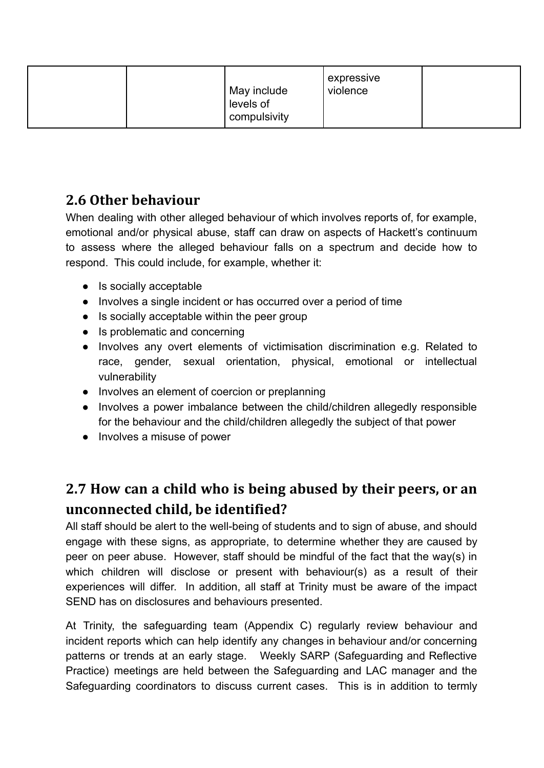| May include<br>levels of<br>compulsivity | expressive<br>violence |  |
|------------------------------------------|------------------------|--|
|------------------------------------------|------------------------|--|

### **2.6 Other behaviour**

When dealing with other alleged behaviour of which involves reports of, for example, emotional and/or physical abuse, staff can draw on aspects of Hackett's continuum to assess where the alleged behaviour falls on a spectrum and decide how to respond. This could include, for example, whether it:

- Is socially acceptable
- Involves a single incident or has occurred over a period of time
- Is socially acceptable within the peer group
- Is problematic and concerning
- Involves any overt elements of victimisation discrimination e.g. Related to race, gender, sexual orientation, physical, emotional or intellectual vulnerability
- Involves an element of coercion or preplanning
- Involves a power imbalance between the child/children allegedly responsible for the behaviour and the child/children allegedly the subject of that power
- Involves a misuse of power

## **2.7 How can a child who is being abused by their peers, or an unconnected child, be identified?**

All staff should be alert to the well-being of students and to sign of abuse, and should engage with these signs, as appropriate, to determine whether they are caused by peer on peer abuse. However, staff should be mindful of the fact that the way(s) in which children will disclose or present with behaviour(s) as a result of their experiences will differ. In addition, all staff at Trinity must be aware of the impact SEND has on disclosures and behaviours presented.

At Trinity, the safeguarding team (Appendix C) regularly review behaviour and incident reports which can help identify any changes in behaviour and/or concerning patterns or trends at an early stage. Weekly SARP (Safeguarding and Reflective Practice) meetings are held between the Safeguarding and LAC manager and the Safeguarding coordinators to discuss current cases. This is in addition to termly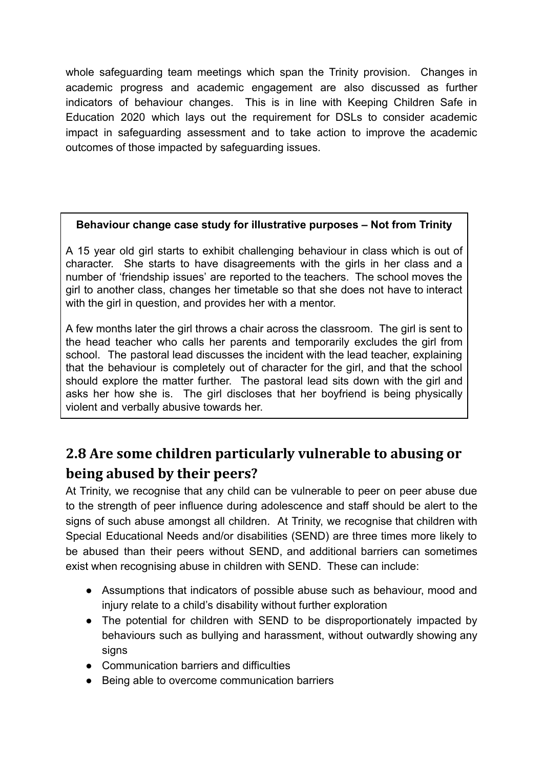whole safeguarding team meetings which span the Trinity provision. Changes in academic progress and academic engagement are also discussed as further indicators of behaviour changes. This is in line with Keeping Children Safe in Education 2020 which lays out the requirement for DSLs to consider academic impact in safeguarding assessment and to take action to improve the academic outcomes of those impacted by safeguarding issues.

#### **Behaviour change case study for illustrative purposes – Not from Trinity**

A 15 year old girl starts to exhibit challenging behaviour in class which is out of character. She starts to have disagreements with the girls in her class and a number of 'friendship issues' are reported to the teachers. The school moves the girl to another class, changes her timetable so that she does not have to interact with the girl in question, and provides her with a mentor.

A few months later the girl throws a chair across the classroom. The girl is sent to the head teacher who calls her parents and temporarily excludes the girl from school. The pastoral lead discusses the incident with the lead teacher, explaining that the behaviour is completely out of character for the girl, and that the school should explore the matter further. The pastoral lead sits down with the girl and asks her how she is. The girl discloses that her boyfriend is being physically violent and verbally abusive towards her.

## **2.8 Are some children particularly vulnerable to abusing or being abused by their peers?**

At Trinity, we recognise that any child can be vulnerable to peer on peer abuse due to the strength of peer influence during adolescence and staff should be alert to the signs of such abuse amongst all children. At Trinity, we recognise that children with Special Educational Needs and/or disabilities (SEND) are three times more likely to be abused than their peers without SEND, and additional barriers can sometimes exist when recognising abuse in children with SEND. These can include:

- Assumptions that indicators of possible abuse such as behaviour, mood and injury relate to a child's disability without further exploration
- The potential for children with SEND to be disproportionately impacted by behaviours such as bullying and harassment, without outwardly showing any signs
- Communication barriers and difficulties
- Being able to overcome communication barriers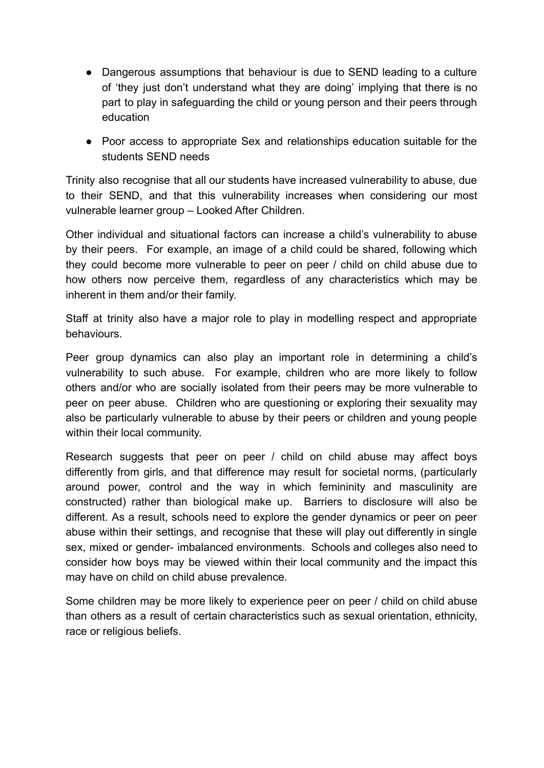- Dangerous assumptions that behaviour is due to SEND leading to a culture of 'they just don't understand what they are doing' implying that there is no part to play in safeguarding the child or young person and their peers through education
- Poor access to appropriate Sex and relationships education suitable for the students SEND needs

Trinity also recognise that all our students have increased vulnerability to abuse, due to their SEND, and that this vulnerability increases when considering our most vulnerable learner group – Looked After Children.

Other individual and situational factors can increase a child's vulnerability to abuse by their peers. For example, an image of a child could be shared, following which they could become more vulnerable to peer on peer / child on child abuse due to how others now perceive them, regardless of any characteristics which may be inherent in them and/or their family.

Staff at trinity also have a major role to play in modelling respect and appropriate behaviours.

Peer group dynamics can also play an important role in determining a child's vulnerability to such abuse. For example, children who are more likely to follow others and/or who are socially isolated from their peers may be more vulnerable to peer on peer abuse. Children who are questioning or exploring their sexuality may also be particularly vulnerable to abuse by their peers or children and young people within their local community.

Research suggests that peer on peer / child on child abuse may affect boys differently from girls, and that difference may result for societal norms, (particularly around power, control and the way in which femininity and masculinity are constructed) rather than biological make up. Barriers to disclosure will also be different. As a result, schools need to explore the gender dynamics or peer on peer abuse within their settings, and recognise that these will play out differently in single sex, mixed or gender- imbalanced environments. Schools and colleges also need to consider how boys may be viewed within their local community and the impact this may have on child on child abuse prevalence.

Some children may be more likely to experience peer on peer / child on child abuse than others as a result of certain characteristics such as sexual orientation, ethnicity, race or religious beliefs.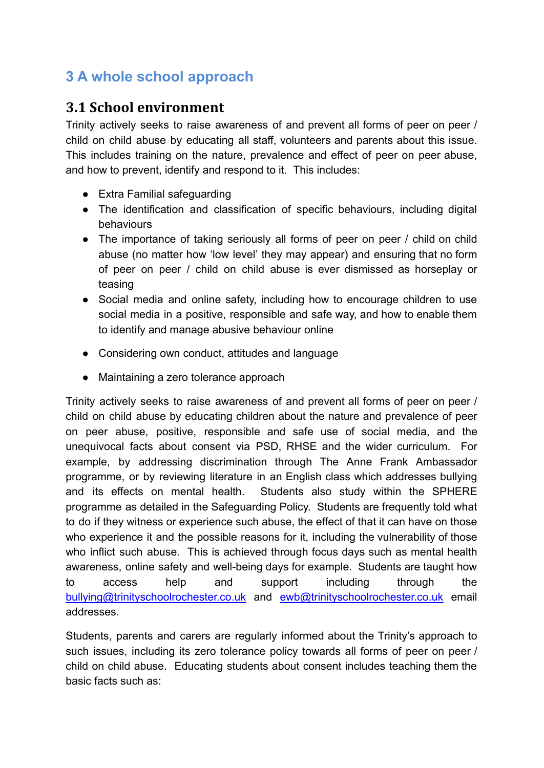## **3 A whole school approach**

#### **3.1 School environment**

Trinity actively seeks to raise awareness of and prevent all forms of peer on peer / child on child abuse by educating all staff, volunteers and parents about this issue. This includes training on the nature, prevalence and effect of peer on peer abuse, and how to prevent, identify and respond to it. This includes:

- Extra Familial safeguarding
- The identification and classification of specific behaviours, including digital behaviours
- The importance of taking seriously all forms of peer on peer / child on child abuse (no matter how 'low level' they may appear) and ensuring that no form of peer on peer / child on child abuse is ever dismissed as horseplay or teasing
- Social media and online safety, including how to encourage children to use social media in a positive, responsible and safe way, and how to enable them to identify and manage abusive behaviour online
- Considering own conduct, attitudes and language
- Maintaining a zero tolerance approach

Trinity actively seeks to raise awareness of and prevent all forms of peer on peer / child on child abuse by educating children about the nature and prevalence of peer on peer abuse, positive, responsible and safe use of social media, and the unequivocal facts about consent via PSD, RHSE and the wider curriculum. For example, by addressing discrimination through The Anne Frank Ambassador programme, or by reviewing literature in an English class which addresses bullying and its effects on mental health. Students also study within the SPHERE programme as detailed in the Safeguarding Policy. Students are frequently told what to do if they witness or experience such abuse, the effect of that it can have on those who experience it and the possible reasons for it, including the vulnerability of those who inflict such abuse. This is achieved through focus days such as mental health awareness, online safety and well-being days for example. Students are taught how to access help and support including through the [bullying@trinityschoolrochester.co.uk](mailto:bullying@trinityschoolrochester.co.uk) and [ewb@trinityschoolrochester.co.uk](mailto:ewb@trinityschoolrochester.co.uk) email addresses.

Students, parents and carers are regularly informed about the Trinity's approach to such issues, including its zero tolerance policy towards all forms of peer on peer / child on child abuse. Educating students about consent includes teaching them the basic facts such as: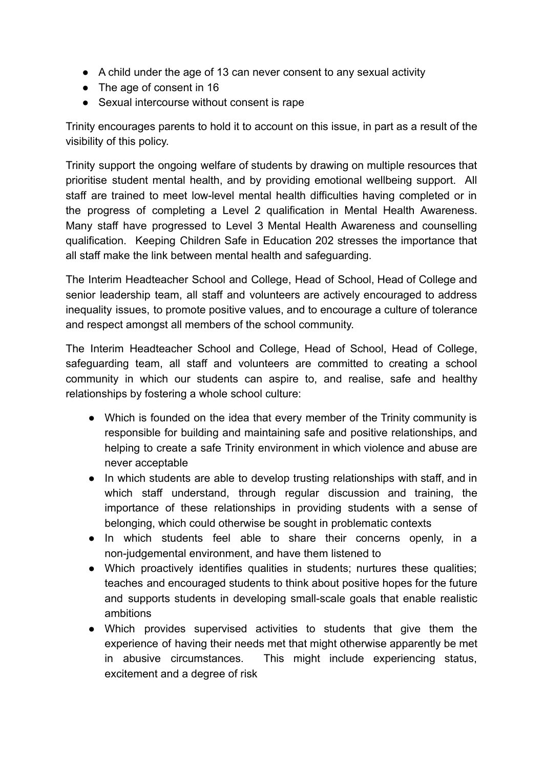- A child under the age of 13 can never consent to any sexual activity
- The age of consent in 16
- Sexual intercourse without consent is rape

Trinity encourages parents to hold it to account on this issue, in part as a result of the visibility of this policy.

Trinity support the ongoing welfare of students by drawing on multiple resources that prioritise student mental health, and by providing emotional wellbeing support. All staff are trained to meet low-level mental health difficulties having completed or in the progress of completing a Level 2 qualification in Mental Health Awareness. Many staff have progressed to Level 3 Mental Health Awareness and counselling qualification. Keeping Children Safe in Education 202 stresses the importance that all staff make the link between mental health and safeguarding.

The Interim Headteacher School and College, Head of School, Head of College and senior leadership team, all staff and volunteers are actively encouraged to address inequality issues, to promote positive values, and to encourage a culture of tolerance and respect amongst all members of the school community.

The Interim Headteacher School and College, Head of School, Head of College, safeguarding team, all staff and volunteers are committed to creating a school community in which our students can aspire to, and realise, safe and healthy relationships by fostering a whole school culture:

- Which is founded on the idea that every member of the Trinity community is responsible for building and maintaining safe and positive relationships, and helping to create a safe Trinity environment in which violence and abuse are never acceptable
- In which students are able to develop trusting relationships with staff, and in which staff understand, through regular discussion and training, the importance of these relationships in providing students with a sense of belonging, which could otherwise be sought in problematic contexts
- In which students feel able to share their concerns openly, in a non-judgemental environment, and have them listened to
- Which proactively identifies qualities in students; nurtures these qualities; teaches and encouraged students to think about positive hopes for the future and supports students in developing small-scale goals that enable realistic ambitions
- Which provides supervised activities to students that give them the experience of having their needs met that might otherwise apparently be met in abusive circumstances. This might include experiencing status, excitement and a degree of risk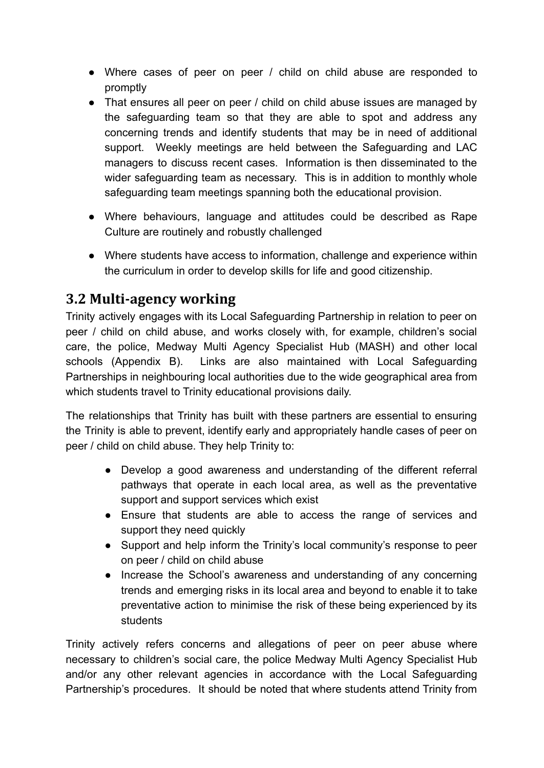- Where cases of peer on peer / child on child abuse are responded to promptly
- That ensures all peer on peer / child on child abuse issues are managed by the safeguarding team so that they are able to spot and address any concerning trends and identify students that may be in need of additional support. Weekly meetings are held between the Safeguarding and LAC managers to discuss recent cases. Information is then disseminated to the wider safeguarding team as necessary. This is in addition to monthly whole safeguarding team meetings spanning both the educational provision.
- Where behaviours, language and attitudes could be described as Rape Culture are routinely and robustly challenged
- Where students have access to information, challenge and experience within the curriculum in order to develop skills for life and good citizenship.

### **3.2 Multi-agency working**

Trinity actively engages with its Local Safeguarding Partnership in relation to peer on peer / child on child abuse, and works closely with, for example, children's social care, the police, Medway Multi Agency Specialist Hub (MASH) and other local schools (Appendix B). Links are also maintained with Local Safeguarding Partnerships in neighbouring local authorities due to the wide geographical area from which students travel to Trinity educational provisions daily.

The relationships that Trinity has built with these partners are essential to ensuring the Trinity is able to prevent, identify early and appropriately handle cases of peer on peer / child on child abuse. They help Trinity to:

- Develop a good awareness and understanding of the different referral pathways that operate in each local area, as well as the preventative support and support services which exist
- Ensure that students are able to access the range of services and support they need quickly
- Support and help inform the Trinity's local community's response to peer on peer / child on child abuse
- Increase the School's awareness and understanding of any concerning trends and emerging risks in its local area and beyond to enable it to take preventative action to minimise the risk of these being experienced by its students

Trinity actively refers concerns and allegations of peer on peer abuse where necessary to children's social care, the police Medway Multi Agency Specialist Hub and/or any other relevant agencies in accordance with the Local Safeguarding Partnership's procedures. It should be noted that where students attend Trinity from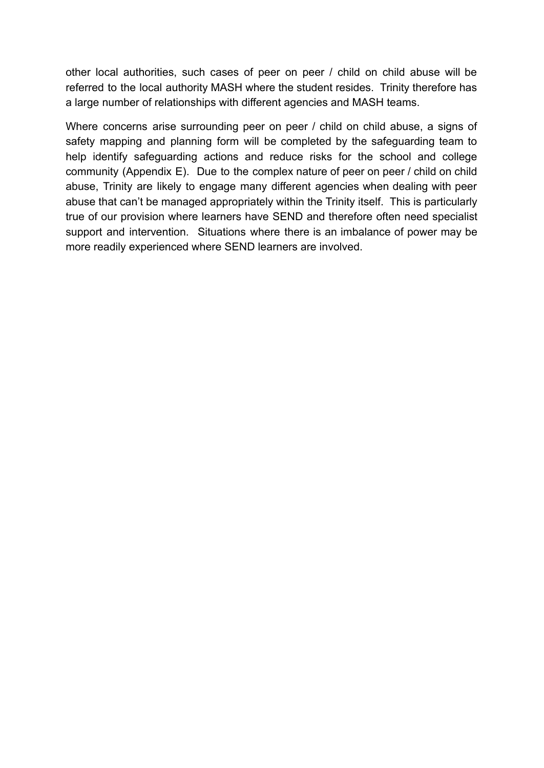other local authorities, such cases of peer on peer / child on child abuse will be referred to the local authority MASH where the student resides. Trinity therefore has a large number of relationships with different agencies and MASH teams.

Where concerns arise surrounding peer on peer / child on child abuse, a signs of safety mapping and planning form will be completed by the safeguarding team to help identify safeguarding actions and reduce risks for the school and college community (Appendix E). Due to the complex nature of peer on peer / child on child abuse, Trinity are likely to engage many different agencies when dealing with peer abuse that can't be managed appropriately within the Trinity itself. This is particularly true of our provision where learners have SEND and therefore often need specialist support and intervention. Situations where there is an imbalance of power may be more readily experienced where SEND learners are involved.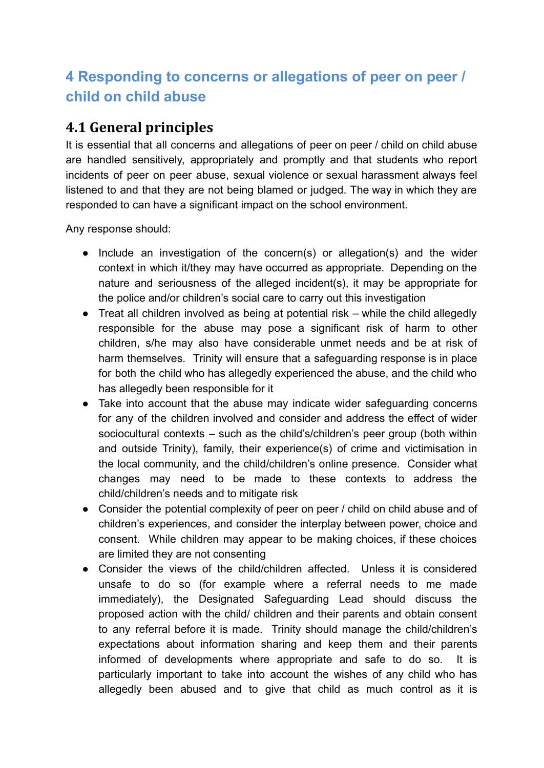## **4 Responding to concerns or allegations of peer on peer / child on child abuse**

### **4.1 General principles**

It is essential that all concerns and allegations of peer on peer / child on child abuse are handled sensitively, appropriately and promptly and that students who report incidents of peer on peer abuse, sexual violence or sexual harassment always feel listened to and that they are not being blamed or judged. The way in which they are responded to can have a significant impact on the school environment.

Any response should:

- Include an investigation of the concern(s) or allegation(s) and the wider context in which it/they may have occurred as appropriate. Depending on the nature and seriousness of the alleged incident(s), it may be appropriate for the police and/or children's social care to carry out this investigation
- Treat all children involved as being at potential risk while the child allegedly responsible for the abuse may pose a significant risk of harm to other children, s/he may also have considerable unmet needs and be at risk of harm themselves. Trinity will ensure that a safeguarding response is in place for both the child who has allegedly experienced the abuse, and the child who has allegedly been responsible for it
- Take into account that the abuse may indicate wider safeguarding concerns for any of the children involved and consider and address the effect of wider sociocultural contexts – such as the child's/children's peer group (both within and outside Trinity), family, their experience(s) of crime and victimisation in the local community, and the child/children's online presence. Consider what changes may need to be made to these contexts to address the child/children's needs and to mitigate risk
- Consider the potential complexity of peer on peer / child on child abuse and of children's experiences, and consider the interplay between power, choice and consent. While children may appear to be making choices, if these choices are limited they are not consenting
- Consider the views of the child/children affected. Unless it is considered unsafe to do so (for example where a referral needs to me made immediately), the Designated Safeguarding Lead should discuss the proposed action with the child/ children and their parents and obtain consent to any referral before it is made. Trinity should manage the child/children's expectations about information sharing and keep them and their parents informed of developments where appropriate and safe to do so. It is particularly important to take into account the wishes of any child who has allegedly been abused and to give that child as much control as it is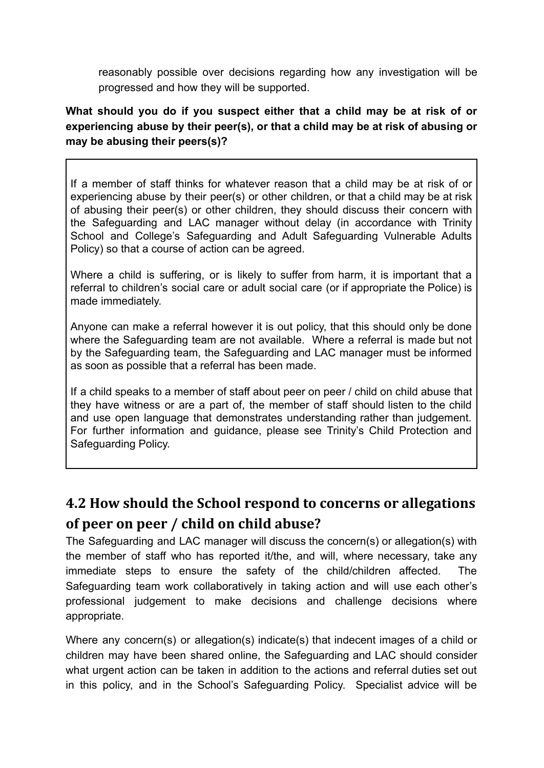reasonably possible over decisions regarding how any investigation will be progressed and how they will be supported.

#### **What should you do if you suspect either that a child may be at risk of or experiencing abuse by their peer(s), or that a child may be at risk of abusing or may be abusing their peers(s)?**

If a member of staff thinks for whatever reason that a child may be at risk of or experiencing abuse by their peer(s) or other children, or that a child may be at risk of abusing their peer(s) or other children, they should discuss their concern with the Safeguarding and LAC manager without delay (in accordance with Trinity School and College's Safeguarding and Adult Safeguarding Vulnerable Adults Policy) so that a course of action can be agreed.

Where a child is suffering, or is likely to suffer from harm, it is important that a referral to children's social care or adult social care (or if appropriate the Police) is made immediately.

Anyone can make a referral however it is out policy, that this should only be done where the Safeguarding team are not available. Where a referral is made but not by the Safeguarding team, the Safeguarding and LAC manager must be informed as soon as possible that a referral has been made.

If a child speaks to a member of staff about peer on peer / child on child abuse that they have witness or are a part of, the member of staff should listen to the child and use open language that demonstrates understanding rather than judgement. For further information and guidance, please see Trinity's Child Protection and Safeguarding Policy.

## **4.2 How should the School respond to concerns or allegations of peer on peer / child on child abuse?**

The Safeguarding and LAC manager will discuss the concern(s) or allegation(s) with the member of staff who has reported it/the, and will, where necessary, take any immediate steps to ensure the safety of the child/children affected. The Safeguarding team work collaboratively in taking action and will use each other's professional judgement to make decisions and challenge decisions where appropriate.

Where any concern(s) or allegation(s) indicate(s) that indecent images of a child or children may have been shared online, the Safeguarding and LAC should consider what urgent action can be taken in addition to the actions and referral duties set out in this policy, and in the School's Safeguarding Policy. Specialist advice will be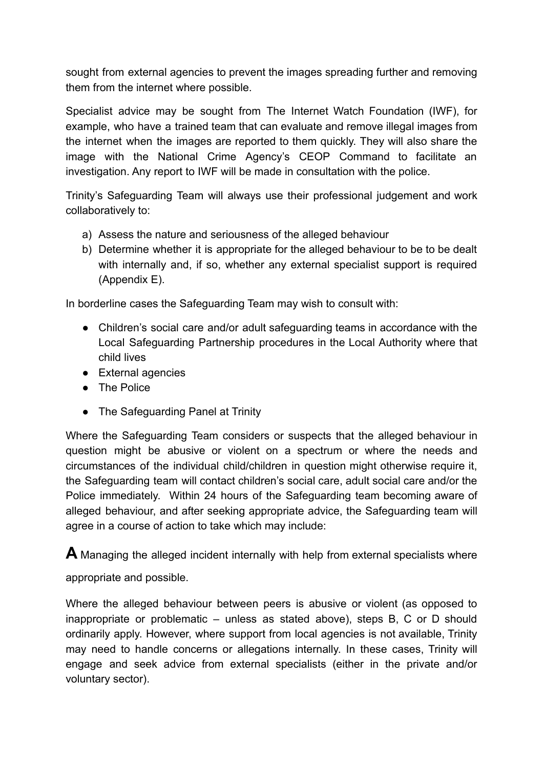sought from external agencies to prevent the images spreading further and removing them from the internet where possible.

Specialist advice may be sought from The Internet Watch Foundation (IWF), for example, who have a trained team that can evaluate and remove illegal images from the internet when the images are reported to them quickly. They will also share the image with the National Crime Agency's CEOP Command to facilitate an investigation. Any report to IWF will be made in consultation with the police.

Trinity's Safeguarding Team will always use their professional judgement and work collaboratively to:

- a) Assess the nature and seriousness of the alleged behaviour
- b) Determine whether it is appropriate for the alleged behaviour to be to be dealt with internally and, if so, whether any external specialist support is required (Appendix E).

In borderline cases the Safeguarding Team may wish to consult with:

- Children's social care and/or adult safeguarding teams in accordance with the Local Safeguarding Partnership procedures in the Local Authority where that child lives
- External agencies
- The Police
- The Safeguarding Panel at Trinity

Where the Safeguarding Team considers or suspects that the alleged behaviour in question might be abusive or violent on a spectrum or where the needs and circumstances of the individual child/children in question might otherwise require it, the Safeguarding team will contact children's social care, adult social care and/or the Police immediately. Within 24 hours of the Safeguarding team becoming aware of alleged behaviour, and after seeking appropriate advice, the Safeguarding team will agree in a course of action to take which may include:

**A** Managing the alleged incident internally with help from external specialists where

appropriate and possible.

Where the alleged behaviour between peers is abusive or violent (as opposed to inappropriate or problematic – unless as stated above), steps B, C or D should ordinarily apply. However, where support from local agencies is not available, Trinity may need to handle concerns or allegations internally. In these cases, Trinity will engage and seek advice from external specialists (either in the private and/or voluntary sector).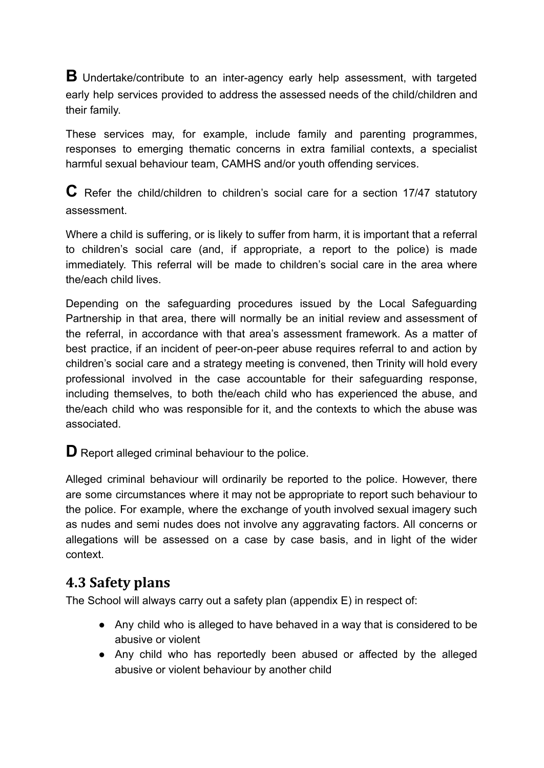**B** Undertake/contribute to an inter-agency early help assessment, with targeted early help services provided to address the assessed needs of the child/children and their family.

These services may, for example, include family and parenting programmes, responses to emerging thematic concerns in extra familial contexts, a specialist harmful sexual behaviour team, CAMHS and/or youth offending services.

**C** Refer the child/children to children's social care for <sup>a</sup> section 17/47 statutory assessment.

Where a child is suffering, or is likely to suffer from harm, it is important that a referral to children's social care (and, if appropriate, a report to the police) is made immediately. This referral will be made to children's social care in the area where the/each child lives.

Depending on the safeguarding procedures issued by the Local Safeguarding Partnership in that area, there will normally be an initial review and assessment of the referral, in accordance with that area's assessment framework. As a matter of best practice, if an incident of peer-on-peer abuse requires referral to and action by children's social care and a strategy meeting is convened, then Trinity will hold every professional involved in the case accountable for their safeguarding response, including themselves, to both the/each child who has experienced the abuse, and the/each child who was responsible for it, and the contexts to which the abuse was associated.

**D** Report alleged criminal behaviour to the police.

Alleged criminal behaviour will ordinarily be reported to the police. However, there are some circumstances where it may not be appropriate to report such behaviour to the police. For example, where the exchange of youth involved sexual imagery such as nudes and semi nudes does not involve any aggravating factors. All concerns or allegations will be assessed on a case by case basis, and in light of the wider context.

### **4.3 Safety plans**

The School will always carry out a safety plan (appendix E) in respect of:

- Any child who is alleged to have behaved in a way that is considered to be abusive or violent
- Any child who has reportedly been abused or affected by the alleged abusive or violent behaviour by another child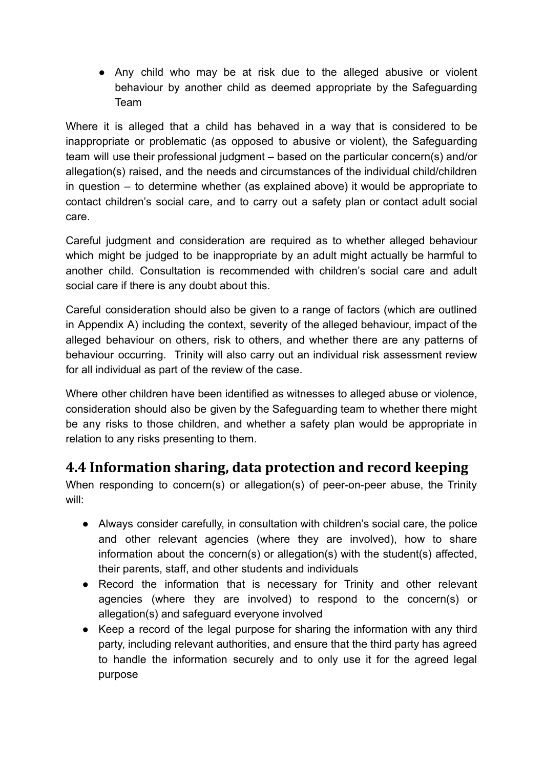● Any child who may be at risk due to the alleged abusive or violent behaviour by another child as deemed appropriate by the Safeguarding Team

Where it is alleged that a child has behaved in a way that is considered to be inappropriate or problematic (as opposed to abusive or violent), the Safeguarding team will use their professional judgment – based on the particular concern(s) and/or allegation(s) raised, and the needs and circumstances of the individual child/children in question – to determine whether (as explained above) it would be appropriate to contact children's social care, and to carry out a safety plan or contact adult social care.

Careful judgment and consideration are required as to whether alleged behaviour which might be judged to be inappropriate by an adult might actually be harmful to another child. Consultation is recommended with children's social care and adult social care if there is any doubt about this.

Careful consideration should also be given to a range of factors (which are outlined in Appendix A) including the context, severity of the alleged behaviour, impact of the alleged behaviour on others, risk to others, and whether there are any patterns of behaviour occurring. Trinity will also carry out an individual risk assessment review for all individual as part of the review of the case.

Where other children have been identified as witnesses to alleged abuse or violence, consideration should also be given by the Safeguarding team to whether there might be any risks to those children, and whether a safety plan would be appropriate in relation to any risks presenting to them.

### **4.4 Information sharing, data protection and record keeping**

When responding to concern(s) or allegation(s) of peer-on-peer abuse, the Trinity will:

- Always consider carefully, in consultation with children's social care, the police and other relevant agencies (where they are involved), how to share information about the concern(s) or allegation(s) with the student(s) affected, their parents, staff, and other students and individuals
- Record the information that is necessary for Trinity and other relevant agencies (where they are involved) to respond to the concern(s) or allegation(s) and safeguard everyone involved
- Keep a record of the legal purpose for sharing the information with any third party, including relevant authorities, and ensure that the third party has agreed to handle the information securely and to only use it for the agreed legal purpose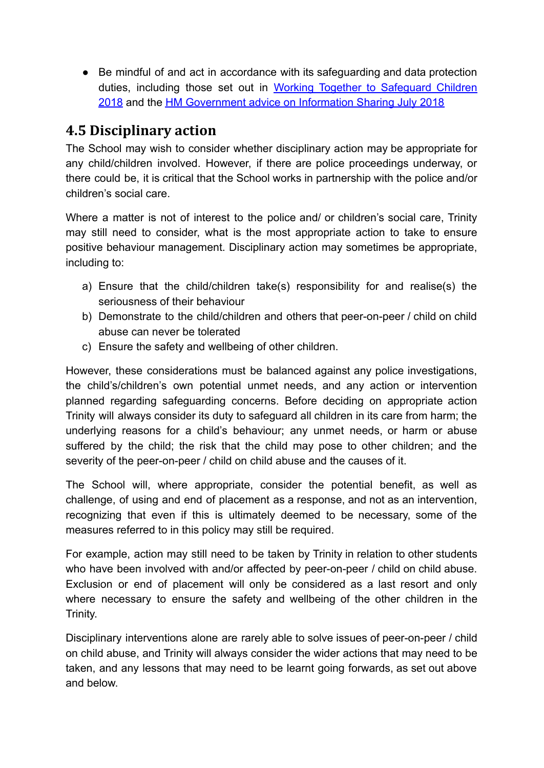● Be mindful of and act in accordance with its safeguarding and data protection duties, including those set out in Working Together to [Safeguard](https://assets.publishing.service.gov.uk/government/uploads/system/uploads/attachment_data/file/779401/Working_Together_to_Safeguard-Children.pdf) Children [2018](https://assets.publishing.service.gov.uk/government/uploads/system/uploads/attachment_data/file/779401/Working_Together_to_Safeguard-Children.pdf) and the [HM Government advice on Information Sharing](https://assets.publishing.service.gov.uk/government/uploads/system/uploads/attachment_data/file/721581/Information_sharing_advice_practitioners_safeguarding_services.pdf) July 2018

### **4.5 Disciplinary action**

The School may wish to consider whether disciplinary action may be appropriate for any child/children involved. However, if there are police proceedings underway, or there could be, it is critical that the School works in partnership with the police and/or children's social care.

Where a matter is not of interest to the police and/ or children's social care. Trinity may still need to consider, what is the most appropriate action to take to ensure positive behaviour management. Disciplinary action may sometimes be appropriate, including to:

- a) Ensure that the child/children take(s) responsibility for and realise(s) the seriousness of their behaviour
- b) Demonstrate to the child/children and others that peer-on-peer / child on child abuse can never be tolerated
- c) Ensure the safety and wellbeing of other children.

However, these considerations must be balanced against any police investigations, the child's/children's own potential unmet needs, and any action or intervention planned regarding safeguarding concerns. Before deciding on appropriate action Trinity will always consider its duty to safeguard all children in its care from harm; the underlying reasons for a child's behaviour; any unmet needs, or harm or abuse suffered by the child; the risk that the child may pose to other children; and the severity of the peer-on-peer / child on child abuse and the causes of it.

The School will, where appropriate, consider the potential benefit, as well as challenge, of using and end of placement as a response, and not as an intervention, recognizing that even if this is ultimately deemed to be necessary, some of the measures referred to in this policy may still be required.

For example, action may still need to be taken by Trinity in relation to other students who have been involved with and/or affected by peer-on-peer / child on child abuse. Exclusion or end of placement will only be considered as a last resort and only where necessary to ensure the safety and wellbeing of the other children in the Trinity.

Disciplinary interventions alone are rarely able to solve issues of peer-on-peer / child on child abuse, and Trinity will always consider the wider actions that may need to be taken, and any lessons that may need to be learnt going forwards, as set out above and below.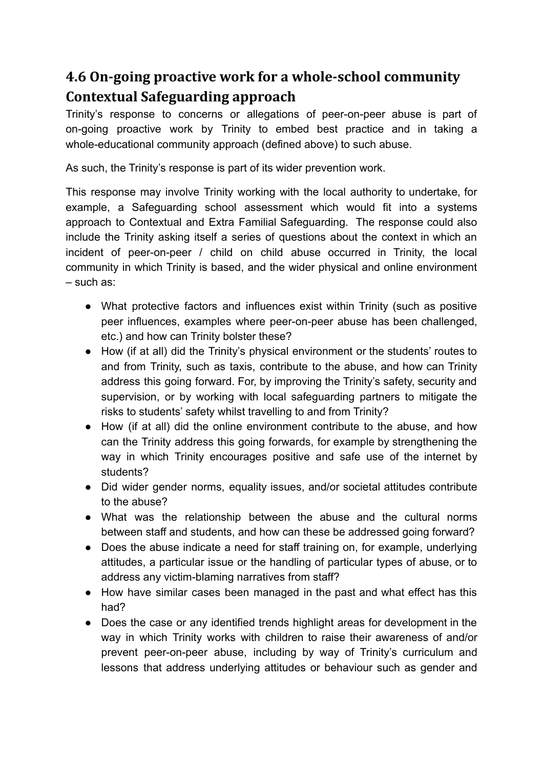## **4.6 On-going proactive work for a whole-school community Contextual Safeguarding approach**

Trinity's response to concerns or allegations of peer-on-peer abuse is part of on-going proactive work by Trinity to embed best practice and in taking a whole-educational community approach (defined above) to such abuse.

As such, the Trinity's response is part of its wider prevention work.

This response may involve Trinity working with the local authority to undertake, for example, a Safeguarding school assessment which would fit into a systems approach to Contextual and Extra Familial Safeguarding. The response could also include the Trinity asking itself a series of questions about the context in which an incident of peer-on-peer / child on child abuse occurred in Trinity, the local community in which Trinity is based, and the wider physical and online environment – such as:

- What protective factors and influences exist within Trinity (such as positive peer influences, examples where peer-on-peer abuse has been challenged, etc.) and how can Trinity bolster these?
- How (if at all) did the Trinity's physical environment or the students' routes to and from Trinity, such as taxis, contribute to the abuse, and how can Trinity address this going forward. For, by improving the Trinity's safety, security and supervision, or by working with local safeguarding partners to mitigate the risks to students' safety whilst travelling to and from Trinity?
- How (if at all) did the online environment contribute to the abuse, and how can the Trinity address this going forwards, for example by strengthening the way in which Trinity encourages positive and safe use of the internet by students?
- Did wider gender norms, equality issues, and/or societal attitudes contribute to the abuse?
- What was the relationship between the abuse and the cultural norms between staff and students, and how can these be addressed going forward?
- Does the abuse indicate a need for staff training on, for example, underlying attitudes, a particular issue or the handling of particular types of abuse, or to address any victim-blaming narratives from staff?
- How have similar cases been managed in the past and what effect has this had?
- Does the case or any identified trends highlight areas for development in the way in which Trinity works with children to raise their awareness of and/or prevent peer-on-peer abuse, including by way of Trinity's curriculum and lessons that address underlying attitudes or behaviour such as gender and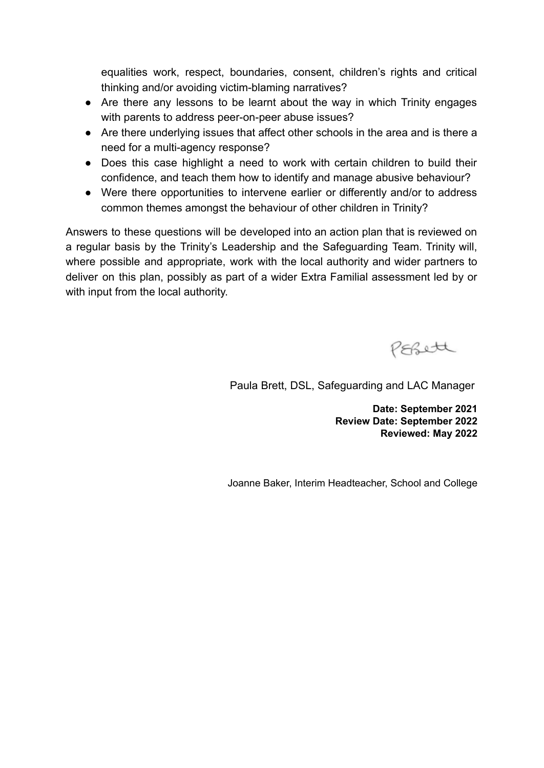equalities work, respect, boundaries, consent, children's rights and critical thinking and/or avoiding victim-blaming narratives?

- Are there any lessons to be learnt about the way in which Trinity engages with parents to address peer-on-peer abuse issues?
- Are there underlying issues that affect other schools in the area and is there a need for a multi-agency response?
- Does this case highlight a need to work with certain children to build their confidence, and teach them how to identify and manage abusive behaviour?
- Were there opportunities to intervene earlier or differently and/or to address common themes amongst the behaviour of other children in Trinity?

Answers to these questions will be developed into an action plan that is reviewed on a regular basis by the Trinity's Leadership and the Safeguarding Team. Trinity will, where possible and appropriate, work with the local authority and wider partners to deliver on this plan, possibly as part of a wider Extra Familial assessment led by or with input from the local authority.

PEBett

Paula Brett, DSL, Safeguarding and LAC Manager

**Date: September 2021 Review Date: September 2022 Reviewed: May 2022**

Joanne Baker, Interim Headteacher, School and College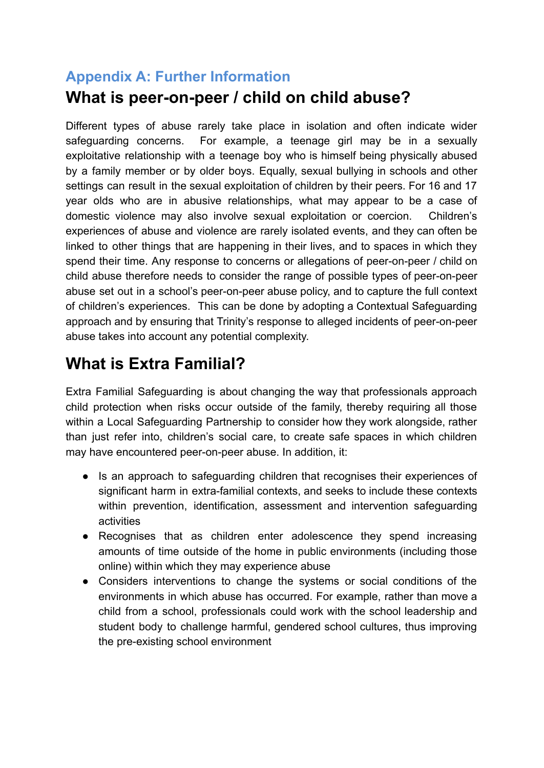## **Appendix A: Further Information What is peer-on-peer / child on child abuse?**

Different types of abuse rarely take place in isolation and often indicate wider safeguarding concerns. For example, a teenage girl may be in a sexually exploitative relationship with a teenage boy who is himself being physically abused by a family member or by older boys. Equally, sexual bullying in schools and other settings can result in the sexual exploitation of children by their peers. For 16 and 17 year olds who are in abusive relationships, what may appear to be a case of domestic violence may also involve sexual exploitation or coercion. Children's experiences of abuse and violence are rarely isolated events, and they can often be linked to other things that are happening in their lives, and to spaces in which they spend their time. Any response to concerns or allegations of peer-on-peer / child on child abuse therefore needs to consider the range of possible types of peer-on-peer abuse set out in a school's peer-on-peer abuse policy, and to capture the full context of children's experiences. This can be done by adopting a Contextual Safeguarding approach and by ensuring that Trinity's response to alleged incidents of peer-on-peer abuse takes into account any potential complexity.

## **What is Extra Familial?**

Extra Familial Safeguarding is about changing the way that professionals approach child protection when risks occur outside of the family, thereby requiring all those within a Local Safeguarding Partnership to consider how they work alongside, rather than just refer into, children's social care, to create safe spaces in which children may have encountered peer-on-peer abuse. In addition, it:

- Is an approach to safeguarding children that recognises their experiences of significant harm in extra-familial contexts, and seeks to include these contexts within prevention, identification, assessment and intervention safeguarding activities
- Recognises that as children enter adolescence they spend increasing amounts of time outside of the home in public environments (including those online) within which they may experience abuse
- Considers interventions to change the systems or social conditions of the environments in which abuse has occurred. For example, rather than move a child from a school, professionals could work with the school leadership and student body to challenge harmful, gendered school cultures, thus improving the pre-existing school environment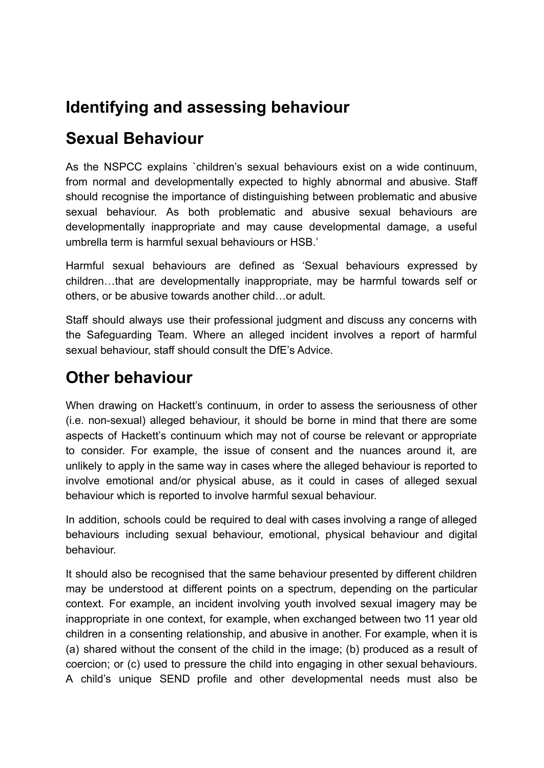## **Identifying and assessing behaviour**

## **Sexual Behaviour**

As the NSPCC explains `children's sexual behaviours exist on a wide continuum, from normal and developmentally expected to highly abnormal and abusive. Staff should recognise the importance of distinguishing between problematic and abusive sexual behaviour. As both problematic and abusive sexual behaviours are developmentally inappropriate and may cause developmental damage, a useful umbrella term is harmful sexual behaviours or HSB.'

Harmful sexual behaviours are defined as 'Sexual behaviours expressed by children…that are developmentally inappropriate, may be harmful towards self or others, or be abusive towards another child…or adult.

Staff should always use their professional judgment and discuss any concerns with the Safeguarding Team. Where an alleged incident involves a report of harmful sexual behaviour, staff should consult the DfE's Advice.

## **Other behaviour**

When drawing on Hackett's continuum, in order to assess the seriousness of other (i.e. non-sexual) alleged behaviour, it should be borne in mind that there are some aspects of Hackett's continuum which may not of course be relevant or appropriate to consider. For example, the issue of consent and the nuances around it, are unlikely to apply in the same way in cases where the alleged behaviour is reported to involve emotional and/or physical abuse, as it could in cases of alleged sexual behaviour which is reported to involve harmful sexual behaviour.

In addition, schools could be required to deal with cases involving a range of alleged behaviours including sexual behaviour, emotional, physical behaviour and digital behaviour.

It should also be recognised that the same behaviour presented by different children may be understood at different points on a spectrum, depending on the particular context. For example, an incident involving youth involved sexual imagery may be inappropriate in one context, for example, when exchanged between two 11 year old children in a consenting relationship, and abusive in another. For example, when it is (a) shared without the consent of the child in the image; (b) produced as a result of coercion; or (c) used to pressure the child into engaging in other sexual behaviours. A child's unique SEND profile and other developmental needs must also be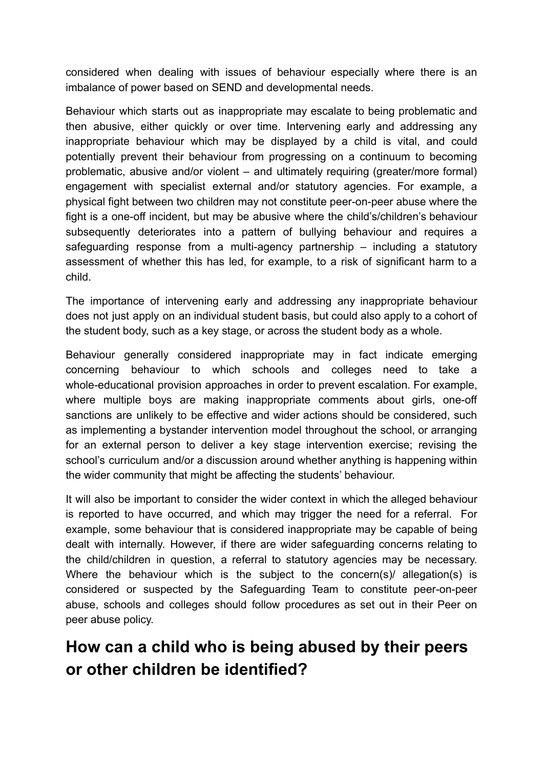considered when dealing with issues of behaviour especially where there is an imbalance of power based on SEND and developmental needs.

Behaviour which starts out as inappropriate may escalate to being problematic and then abusive, either quickly or over time. Intervening early and addressing any inappropriate behaviour which may be displayed by a child is vital, and could potentially prevent their behaviour from progressing on a continuum to becoming problematic, abusive and/or violent – and ultimately requiring (greater/more formal) engagement with specialist external and/or statutory agencies. For example, a physical fight between two children may not constitute peer-on-peer abuse where the fight is a one-off incident, but may be abusive where the child's/children's behaviour subsequently deteriorates into a pattern of bullying behaviour and requires a safeguarding response from a multi-agency partnership – including a statutory assessment of whether this has led, for example, to a risk of significant harm to a child.

The importance of intervening early and addressing any inappropriate behaviour does not just apply on an individual student basis, but could also apply to a cohort of the student body, such as a key stage, or across the student body as a whole.

Behaviour generally considered inappropriate may in fact indicate emerging concerning behaviour to which schools and colleges need to take a whole-educational provision approaches in order to prevent escalation. For example, where multiple boys are making inappropriate comments about girls, one-off sanctions are unlikely to be effective and wider actions should be considered, such as implementing a bystander intervention model throughout the school, or arranging for an external person to deliver a key stage intervention exercise; revising the school's curriculum and/or a discussion around whether anything is happening within the wider community that might be affecting the students' behaviour.

It will also be important to consider the wider context in which the alleged behaviour is reported to have occurred, and which may trigger the need for a referral. For example, some behaviour that is considered inappropriate may be capable of being dealt with internally. However, if there are wider safeguarding concerns relating to the child/children in question, a referral to statutory agencies may be necessary. Where the behaviour which is the subject to the concern(s)/ allegation(s) is considered or suspected by the Safeguarding Team to constitute peer-on-peer abuse, schools and colleges should follow procedures as set out in their Peer on peer abuse policy.

## **How can a child who is being abused by their peers or other children be identified?**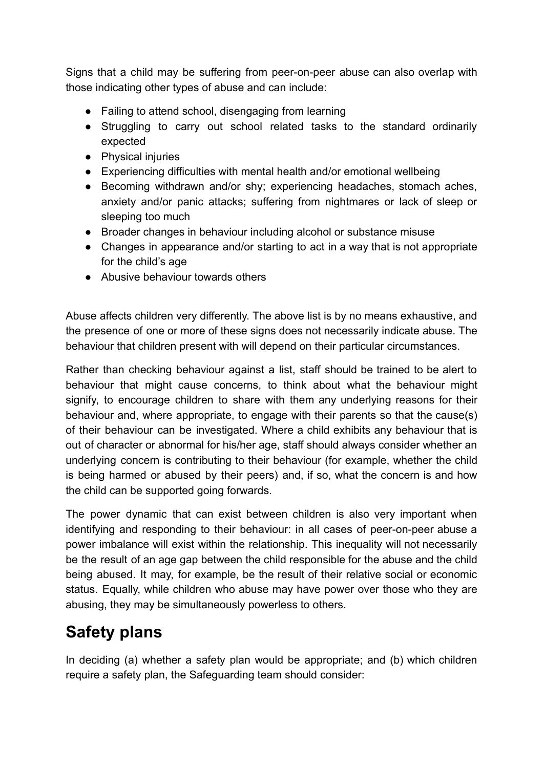Signs that a child may be suffering from peer-on-peer abuse can also overlap with those indicating other types of abuse and can include:

- Failing to attend school, disengaging from learning
- Struggling to carry out school related tasks to the standard ordinarily expected
- Physical injuries
- Experiencing difficulties with mental health and/or emotional wellbeing
- Becoming withdrawn and/or shy: experiencing headaches, stomach aches, anxiety and/or panic attacks; suffering from nightmares or lack of sleep or sleeping too much
- Broader changes in behaviour including alcohol or substance misuse
- Changes in appearance and/or starting to act in a way that is not appropriate for the child's age
- Abusive behaviour towards others

Abuse affects children very differently. The above list is by no means exhaustive, and the presence of one or more of these signs does not necessarily indicate abuse. The behaviour that children present with will depend on their particular circumstances.

Rather than checking behaviour against a list, staff should be trained to be alert to behaviour that might cause concerns, to think about what the behaviour might signify, to encourage children to share with them any underlying reasons for their behaviour and, where appropriate, to engage with their parents so that the cause(s) of their behaviour can be investigated. Where a child exhibits any behaviour that is out of character or abnormal for his/her age, staff should always consider whether an underlying concern is contributing to their behaviour (for example, whether the child is being harmed or abused by their peers) and, if so, what the concern is and how the child can be supported going forwards.

The power dynamic that can exist between children is also very important when identifying and responding to their behaviour: in all cases of peer-on-peer abuse a power imbalance will exist within the relationship. This inequality will not necessarily be the result of an age gap between the child responsible for the abuse and the child being abused. It may, for example, be the result of their relative social or economic status. Equally, while children who abuse may have power over those who they are abusing, they may be simultaneously powerless to others.

## **Safety plans**

In deciding (a) whether a safety plan would be appropriate; and (b) which children require a safety plan, the Safeguarding team should consider: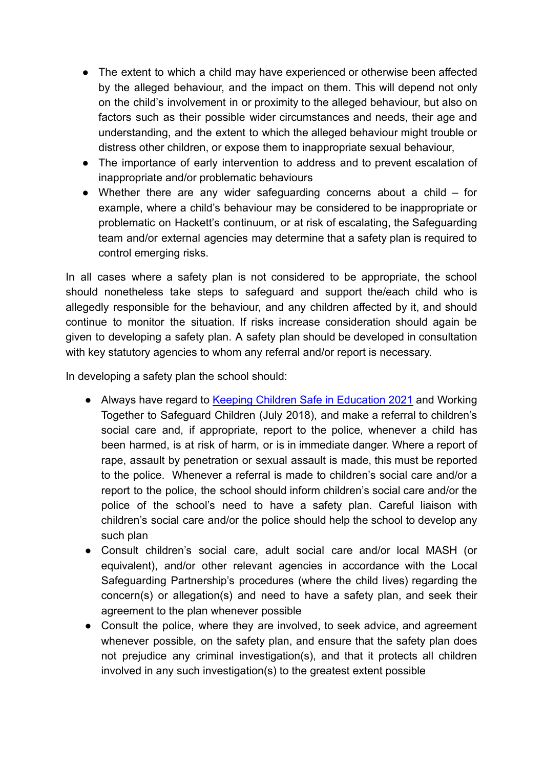- The extent to which a child may have experienced or otherwise been affected by the alleged behaviour, and the impact on them. This will depend not only on the child's involvement in or proximity to the alleged behaviour, but also on factors such as their possible wider circumstances and needs, their age and understanding, and the extent to which the alleged behaviour might trouble or distress other children, or expose them to inappropriate sexual behaviour,
- The importance of early intervention to address and to prevent escalation of inappropriate and/or problematic behaviours
- Whether there are any wider safeguarding concerns about a child for example, where a child's behaviour may be considered to be inappropriate or problematic on Hackett's continuum, or at risk of escalating, the Safeguarding team and/or external agencies may determine that a safety plan is required to control emerging risks.

In all cases where a safety plan is not considered to be appropriate, the school should nonetheless take steps to safeguard and support the/each child who is allegedly responsible for the behaviour, and any children affected by it, and should continue to monitor the situation. If risks increase consideration should again be given to developing a safety plan. A safety plan should be developed in consultation with key statutory agencies to whom any referral and/or report is necessary.

In developing a safety plan the school should:

- Always have regard to Keeping Children Safe in Education 2021 and Working Together to Safeguard Children (July 2018), and make a referral to children's social care and, if appropriate, report to the police, whenever a child has been harmed, is at risk of harm, or is in immediate danger. Where a report of rape, assault by penetration or sexual assault is made, this must be reported to the police. Whenever a referral is made to children's social care and/or a report to the police, the school should inform children's social care and/or the police of the school's need to have a safety plan. Careful liaison with children's social care and/or the police should help the school to develop any such plan
- Consult children's social care, adult social care and/or local MASH (or equivalent), and/or other relevant agencies in accordance with the Local Safeguarding Partnership's procedures (where the child lives) regarding the concern(s) or allegation(s) and need to have a safety plan, and seek their agreement to the plan whenever possible
- Consult the police, where they are involved, to seek advice, and agreement whenever possible, on the safety plan, and ensure that the safety plan does not prejudice any criminal investigation(s), and that it protects all children involved in any such investigation(s) to the greatest extent possible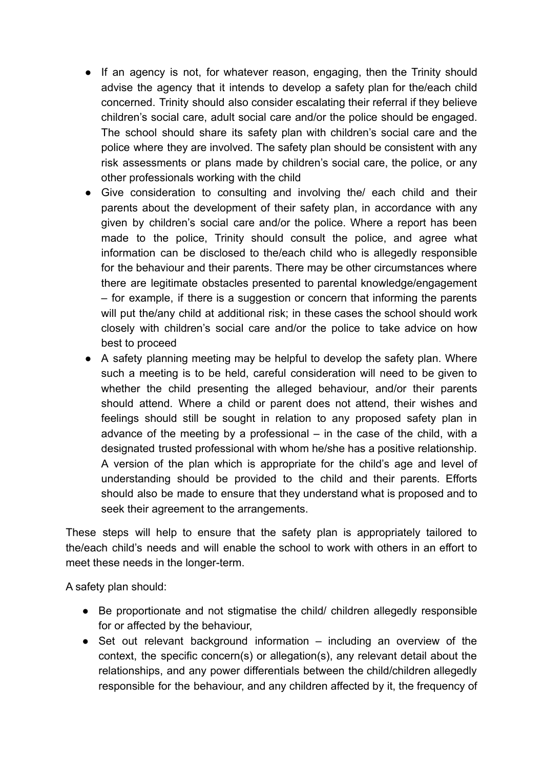- If an agency is not, for whatever reason, engaging, then the Trinity should advise the agency that it intends to develop a safety plan for the/each child concerned. Trinity should also consider escalating their referral if they believe children's social care, adult social care and/or the police should be engaged. The school should share its safety plan with children's social care and the police where they are involved. The safety plan should be consistent with any risk assessments or plans made by children's social care, the police, or any other professionals working with the child
- Give consideration to consulting and involving the/ each child and their parents about the development of their safety plan, in accordance with any given by children's social care and/or the police. Where a report has been made to the police, Trinity should consult the police, and agree what information can be disclosed to the/each child who is allegedly responsible for the behaviour and their parents. There may be other circumstances where there are legitimate obstacles presented to parental knowledge/engagement – for example, if there is a suggestion or concern that informing the parents will put the/any child at additional risk; in these cases the school should work closely with children's social care and/or the police to take advice on how best to proceed
- A safety planning meeting may be helpful to develop the safety plan. Where such a meeting is to be held, careful consideration will need to be given to whether the child presenting the alleged behaviour, and/or their parents should attend. Where a child or parent does not attend, their wishes and feelings should still be sought in relation to any proposed safety plan in advance of the meeting by a professional – in the case of the child, with a designated trusted professional with whom he/she has a positive relationship. A version of the plan which is appropriate for the child's age and level of understanding should be provided to the child and their parents. Efforts should also be made to ensure that they understand what is proposed and to seek their agreement to the arrangements.

These steps will help to ensure that the safety plan is appropriately tailored to the/each child's needs and will enable the school to work with others in an effort to meet these needs in the longer-term.

A safety plan should:

- Be proportionate and not stigmatise the child/ children allegedly responsible for or affected by the behaviour,
- Set out relevant background information including an overview of the context, the specific concern(s) or allegation(s), any relevant detail about the relationships, and any power differentials between the child/children allegedly responsible for the behaviour, and any children affected by it, the frequency of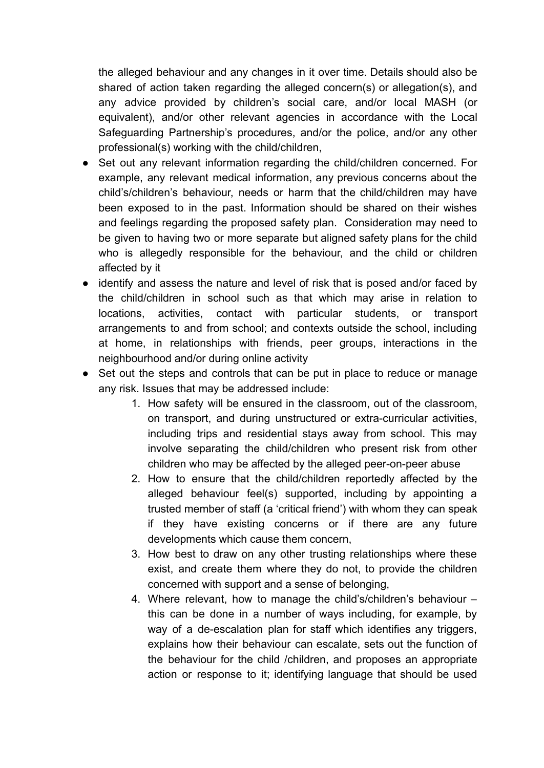the alleged behaviour and any changes in it over time. Details should also be shared of action taken regarding the alleged concern(s) or allegation(s), and any advice provided by children's social care, and/or local MASH (or equivalent), and/or other relevant agencies in accordance with the Local Safeguarding Partnership's procedures, and/or the police, and/or any other professional(s) working with the child/children,

- Set out any relevant information regarding the child/children concerned. For example, any relevant medical information, any previous concerns about the child's/children's behaviour, needs or harm that the child/children may have been exposed to in the past. Information should be shared on their wishes and feelings regarding the proposed safety plan. Consideration may need to be given to having two or more separate but aligned safety plans for the child who is allegedly responsible for the behaviour, and the child or children affected by it
- identify and assess the nature and level of risk that is posed and/or faced by the child/children in school such as that which may arise in relation to locations, activities, contact with particular students, or transport arrangements to and from school; and contexts outside the school, including at home, in relationships with friends, peer groups, interactions in the neighbourhood and/or during online activity
- Set out the steps and controls that can be put in place to reduce or manage any risk. Issues that may be addressed include:
	- 1. How safety will be ensured in the classroom, out of the classroom, on transport, and during unstructured or extra-curricular activities, including trips and residential stays away from school. This may involve separating the child/children who present risk from other children who may be affected by the alleged peer-on-peer abuse
	- 2. How to ensure that the child/children reportedly affected by the alleged behaviour feel(s) supported, including by appointing a trusted member of staff (a 'critical friend') with whom they can speak if they have existing concerns or if there are any future developments which cause them concern,
	- 3. How best to draw on any other trusting relationships where these exist, and create them where they do not, to provide the children concerned with support and a sense of belonging,
	- 4. Where relevant, how to manage the child's/children's behaviour this can be done in a number of ways including, for example, by way of a de-escalation plan for staff which identifies any triggers, explains how their behaviour can escalate, sets out the function of the behaviour for the child /children, and proposes an appropriate action or response to it; identifying language that should be used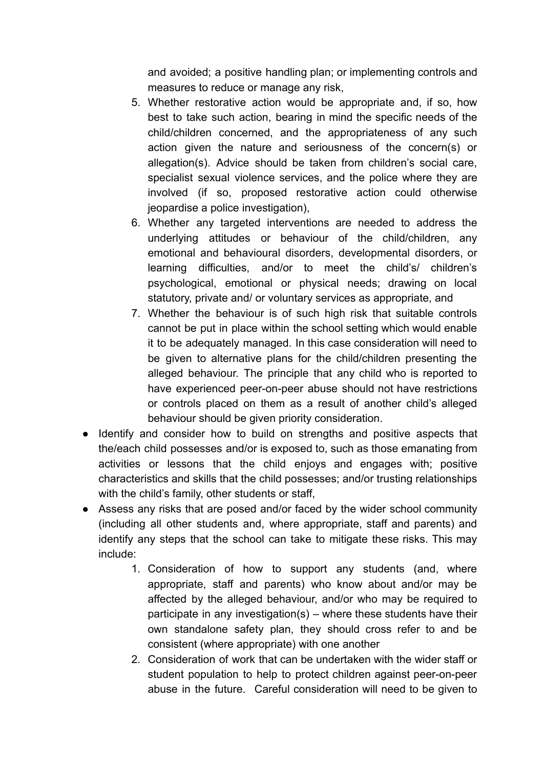and avoided; a positive handling plan; or implementing controls and measures to reduce or manage any risk,

- 5. Whether restorative action would be appropriate and, if so, how best to take such action, bearing in mind the specific needs of the child/children concerned, and the appropriateness of any such action given the nature and seriousness of the concern(s) or allegation(s). Advice should be taken from children's social care, specialist sexual violence services, and the police where they are involved (if so, proposed restorative action could otherwise jeopardise a police investigation),
- 6. Whether any targeted interventions are needed to address the underlying attitudes or behaviour of the child/children, any emotional and behavioural disorders, developmental disorders, or learning difficulties, and/or to meet the child's/ children's psychological, emotional or physical needs; drawing on local statutory, private and/ or voluntary services as appropriate, and
- 7. Whether the behaviour is of such high risk that suitable controls cannot be put in place within the school setting which would enable it to be adequately managed. In this case consideration will need to be given to alternative plans for the child/children presenting the alleged behaviour. The principle that any child who is reported to have experienced peer-on-peer abuse should not have restrictions or controls placed on them as a result of another child's alleged behaviour should be given priority consideration.
- Identify and consider how to build on strengths and positive aspects that the/each child possesses and/or is exposed to, such as those emanating from activities or lessons that the child enjoys and engages with; positive characteristics and skills that the child possesses; and/or trusting relationships with the child's family, other students or staff,
- Assess any risks that are posed and/or faced by the wider school community (including all other students and, where appropriate, staff and parents) and identify any steps that the school can take to mitigate these risks. This may include:
	- 1. Consideration of how to support any students (and, where appropriate, staff and parents) who know about and/or may be affected by the alleged behaviour, and/or who may be required to participate in any investigation(s) – where these students have their own standalone safety plan, they should cross refer to and be consistent (where appropriate) with one another
	- 2. Consideration of work that can be undertaken with the wider staff or student population to help to protect children against peer-on-peer abuse in the future. Careful consideration will need to be given to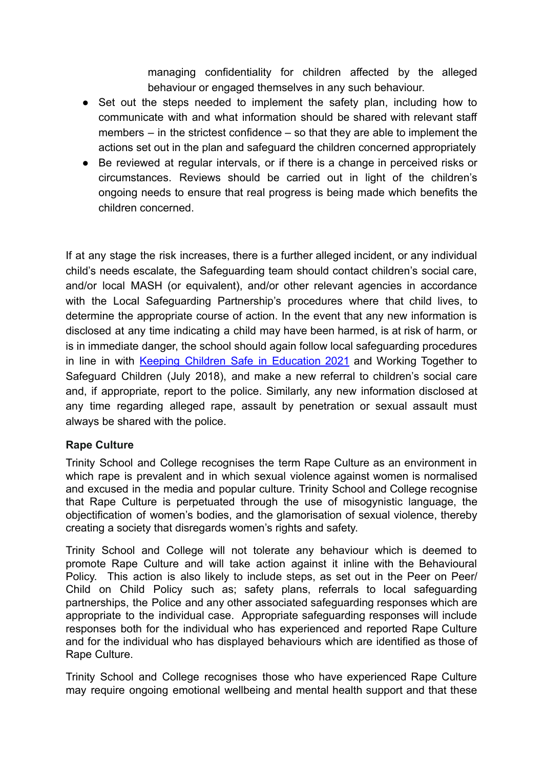managing confidentiality for children affected by the alleged behaviour or engaged themselves in any such behaviour.

- Set out the steps needed to implement the safety plan, including how to communicate with and what information should be shared with relevant staff members – in the strictest confidence – so that they are able to implement the actions set out in the plan and safeguard the children concerned appropriately
- Be reviewed at regular intervals, or if there is a change in perceived risks or circumstances. Reviews should be carried out in light of the children's ongoing needs to ensure that real progress is being made which benefits the children concerned.

If at any stage the risk increases, there is a further alleged incident, or any individual child's needs escalate, the Safeguarding team should contact children's social care, and/or local MASH (or equivalent), and/or other relevant agencies in accordance with the Local Safeguarding Partnership's procedures where that child lives, to determine the appropriate course of action. In the event that any new information is disclosed at any time indicating a child may have been harmed, is at risk of harm, or is in immediate danger, the school should again follow local safeguarding procedures in line in with Keeping Children Safe in [Education](https://assets.publishing.service.gov.uk/government/uploads/system/uploads/attachment_data/file/892394/Keeping_children_safe_in_education_2020.pdf) 2021 and Working Together to Safeguard Children (July 2018), and make a new referral to children's social care and, if appropriate, report to the police. Similarly, any new information disclosed at any time regarding alleged rape, assault by penetration or sexual assault must always be shared with the police.

#### **Rape Culture**

Trinity School and College recognises the term Rape Culture as an environment in which rape is prevalent and in which sexual violence against women is normalised and excused in the media and popular culture. Trinity School and College recognise that Rape Culture is perpetuated through the use of misogynistic language, the objectification of women's bodies, and the glamorisation of sexual violence, thereby creating a society that disregards women's rights and safety.

Trinity School and College will not tolerate any behaviour which is deemed to promote Rape Culture and will take action against it inline with the Behavioural Policy. This action is also likely to include steps, as set out in the Peer on Peer/ Child on Child Policy such as; safety plans, referrals to local safeguarding partnerships, the Police and any other associated safeguarding responses which are appropriate to the individual case. Appropriate safeguarding responses will include responses both for the individual who has experienced and reported Rape Culture and for the individual who has displayed behaviours which are identified as those of Rape Culture.

Trinity School and College recognises those who have experienced Rape Culture may require ongoing emotional wellbeing and mental health support and that these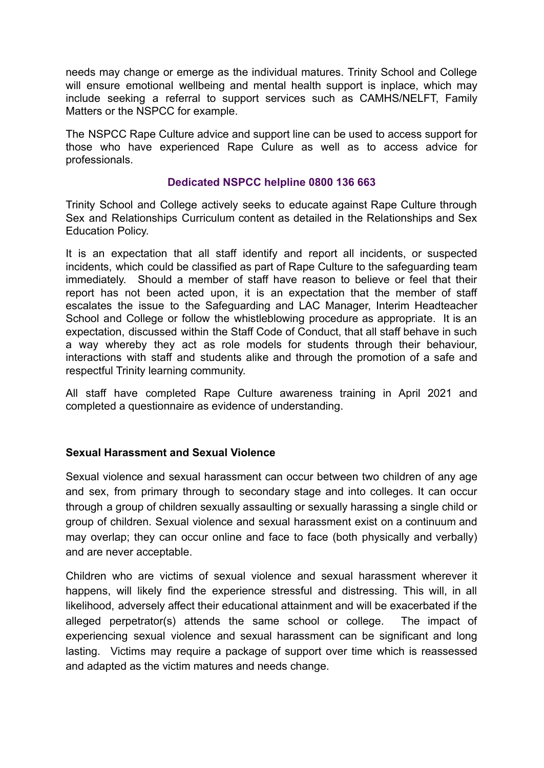needs may change or emerge as the individual matures. Trinity School and College will ensure emotional wellbeing and mental health support is inplace, which may include seeking a referral to support services such as CAMHS/NELFT, Family Matters or the NSPCC for example.

The NSPCC Rape Culture advice and support line can be used to access support for those who have experienced Rape Culure as well as to access advice for professionals.

#### **Dedicated NSPCC helpline 0800 136 663**

Trinity School and College actively seeks to educate against Rape Culture through Sex and Relationships Curriculum content as detailed in the Relationships and Sex Education Policy.

It is an expectation that all staff identify and report all incidents, or suspected incidents, which could be classified as part of Rape Culture to the safeguarding team immediately. Should a member of staff have reason to believe or feel that their report has not been acted upon, it is an expectation that the member of staff escalates the issue to the Safeguarding and LAC Manager, Interim Headteacher School and College or follow the whistleblowing procedure as appropriate. It is an expectation, discussed within the Staff Code of Conduct, that all staff behave in such a way whereby they act as role models for students through their behaviour, interactions with staff and students alike and through the promotion of a safe and respectful Trinity learning community.

All staff have completed Rape Culture awareness training in April 2021 and completed a questionnaire as evidence of understanding.

#### **Sexual Harassment and Sexual Violence**

Sexual violence and sexual harassment can occur between two children of any age and sex, from primary through to secondary stage and into colleges. It can occur through a group of children sexually assaulting or sexually harassing a single child or group of children. Sexual violence and sexual harassment exist on a continuum and may overlap; they can occur online and face to face (both physically and verbally) and are never acceptable.

Children who are victims of sexual violence and sexual harassment wherever it happens, will likely find the experience stressful and distressing. This will, in all likelihood, adversely affect their educational attainment and will be exacerbated if the alleged perpetrator(s) attends the same school or college. The impact of experiencing sexual violence and sexual harassment can be significant and long lasting. Victims may require a package of support over time which is reassessed and adapted as the victim matures and needs change.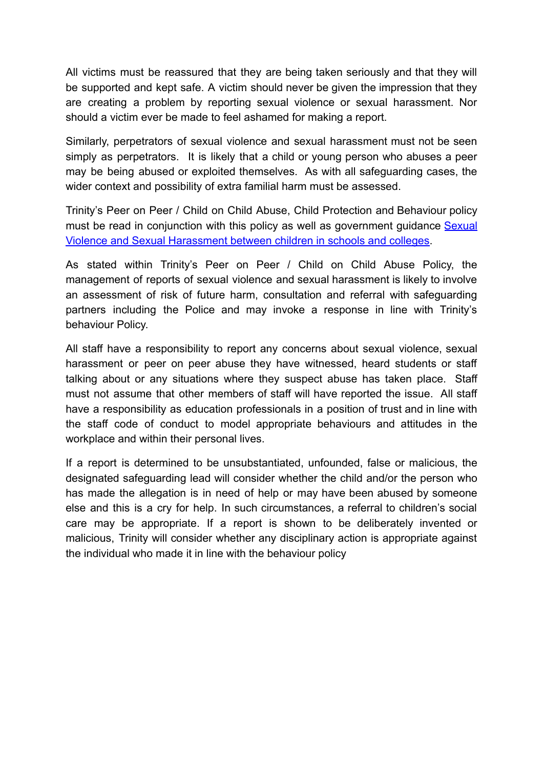All victims must be reassured that they are being taken seriously and that they will be supported and kept safe. A victim should never be given the impression that they are creating a problem by reporting sexual violence or sexual harassment. Nor should a victim ever be made to feel ashamed for making a report.

Similarly, perpetrators of sexual violence and sexual harassment must not be seen simply as perpetrators. It is likely that a child or young person who abuses a peer may be being abused or exploited themselves. As with all safeguarding cases, the wider context and possibility of extra familial harm must be assessed.

Trinity's Peer on Peer / Child on Child Abuse, Child Protection and Behaviour policy must be read in conjunction with this policy as well as government guidance [Sexual](https://www.gov.uk/government/publications/sexual-violence-and-sexual-harassment-between-children-in-schools-and-colleges) [Violence and Sexual Harassment between children in schools and colleges.](https://www.gov.uk/government/publications/sexual-violence-and-sexual-harassment-between-children-in-schools-and-colleges)

As stated within Trinity's Peer on Peer / Child on Child Abuse Policy, the management of reports of sexual violence and sexual harassment is likely to involve an assessment of risk of future harm, consultation and referral with safeguarding partners including the Police and may invoke a response in line with Trinity's behaviour Policy.

All staff have a responsibility to report any concerns about sexual violence, sexual harassment or peer on peer abuse they have witnessed, heard students or staff talking about or any situations where they suspect abuse has taken place. Staff must not assume that other members of staff will have reported the issue. All staff have a responsibility as education professionals in a position of trust and in line with the staff code of conduct to model appropriate behaviours and attitudes in the workplace and within their personal lives.

If a report is determined to be unsubstantiated, unfounded, false or malicious, the designated safeguarding lead will consider whether the child and/or the person who has made the allegation is in need of help or may have been abused by someone else and this is a cry for help. In such circumstances, a referral to children's social care may be appropriate. If a report is shown to be deliberately invented or malicious, Trinity will consider whether any disciplinary action is appropriate against the individual who made it in line with the behaviour policy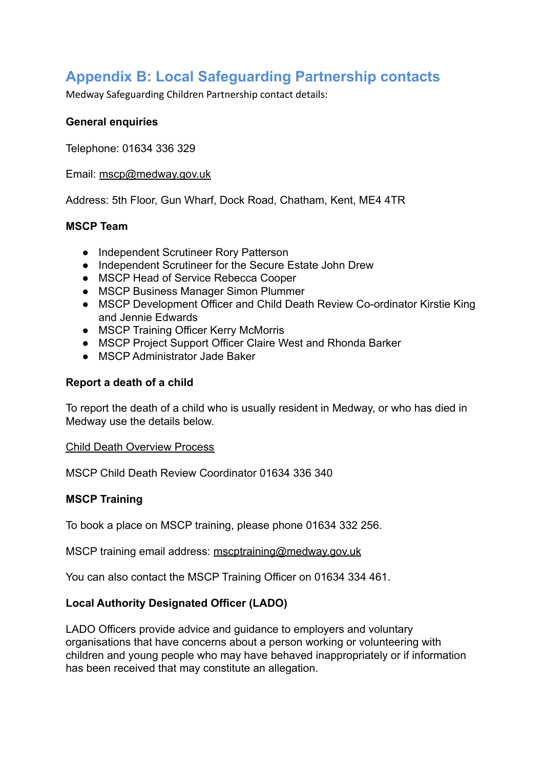### **Appendix B: Local Safeguarding Partnership contacts**

Medway Safeguarding Children Partnership contact details:

#### **General enquiries**

Telephone: 01634 336 329

Email: [mscp@medway.gov.uk](mailto:mscb@medway.gov.uk)

Address: 5th Floor, Gun Wharf, Dock Road, Chatham, Kent, ME4 4TR

#### **MSCP Team**

- Independent Scrutineer Rory Patterson
- Independent Scrutineer for the Secure Estate John Drew
- MSCP Head of Service Rebecca Cooper
- MSCP Business Manager Simon Plummer
- MSCP Development Officer and Child Death Review Co-ordinator Kirstie King and Jennie Edwards
- MSCP Training Officer Kerry McMorris
- MSCP Project Support Officer Claire West and Rhonda Barker
- MSCP Administrator Jade Baker

#### **Report a death of a child**

To report the death of a child who is usually resident in Medway, or who has died in Medway use the details below.

[Child Death Overview Process](https://www.medwayscp.org.uk/mscb/info/4/advice-resources-professionals/68/child-death-overview-process)

MSCP Child Death Review Coordinator 01634 336 340

#### **MSCP Training**

To book a place on MSCP training, please phone 01634 332 256.

MSCP training email address: [mscptraining@medway.gov.uk](mailto:mscbtraining@medway.gov.uk)

You can also contact the MSCP Training Officer on 01634 334 461.

#### **Local Authority Designated Officer (LADO)**

LADO Officers provide advice and guidance to employers and voluntary organisations that have concerns about a person working or volunteering with children and young people who may have behaved inappropriately or if information has been received that may constitute an allegation.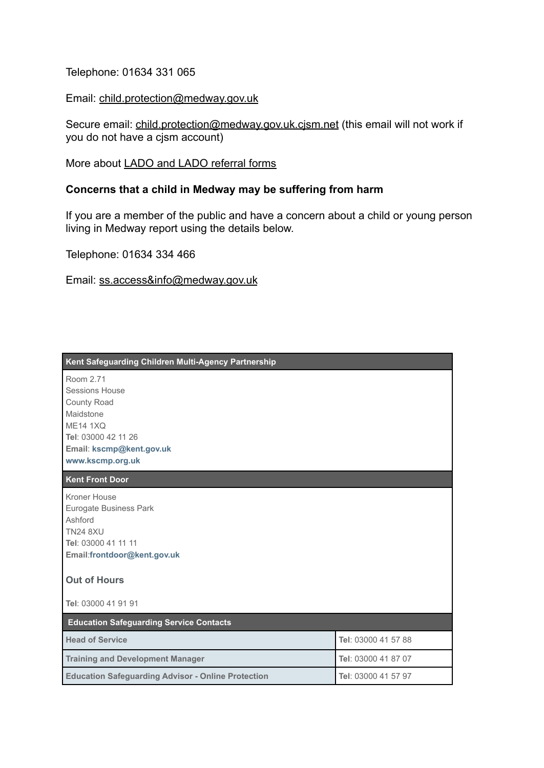Telephone: 01634 331 065

Email: [child.protection@medway.gov.uk](mailto:child.protection@medway.gov.uk)

Secure email: child.protection@medway.gov.uk.cism.net (this email will not work if you do not have a cjsm account)

More about **[LADO and LADO referral forms](https://www.medwayscp.org.uk/mscb/info/4/advice-resources-professionals/2/concerned-childcare-professional)** 

#### **Concerns that a child in Medway may be suffering from harm**

If you are a member of the public and have a concern about a child or young person living in Medway report using the details below.

Telephone: 01634 334 466

Email: [ss.access&info@medway.gov.uk](mailto:ss.access&info@medway.gov.uk)

| Kent Safeguarding Children Multi-Agency Partnership       |                     |
|-----------------------------------------------------------|---------------------|
| Room 2.71                                                 |                     |
| <b>Sessions House</b>                                     |                     |
| <b>County Road</b>                                        |                     |
| Maidstone                                                 |                     |
| <b>ME14 1XQ</b>                                           |                     |
| Tel: 03000 42 11 26                                       |                     |
| Email: kscmp@kent.gov.uk                                  |                     |
| www.kscmp.org.uk                                          |                     |
| <b>Kent Front Door</b>                                    |                     |
| Kroner House                                              |                     |
| Eurogate Business Park                                    |                     |
| Ashford                                                   |                     |
| <b>TN24 8XU</b>                                           |                     |
| Tel: 03000 41 11 11                                       |                     |
| Email:frontdoor@kent.gov.uk                               |                     |
| <b>Out of Hours</b>                                       |                     |
| Tel: 03000 41 91 91                                       |                     |
| <b>Education Safeguarding Service Contacts</b>            |                     |
| <b>Head of Service</b>                                    | Tel: 03000 41 57 88 |
| <b>Training and Development Manager</b>                   | Tel: 03000 41 87 07 |
| <b>Education Safeguarding Advisor - Online Protection</b> | Tel: 03000 41 57 97 |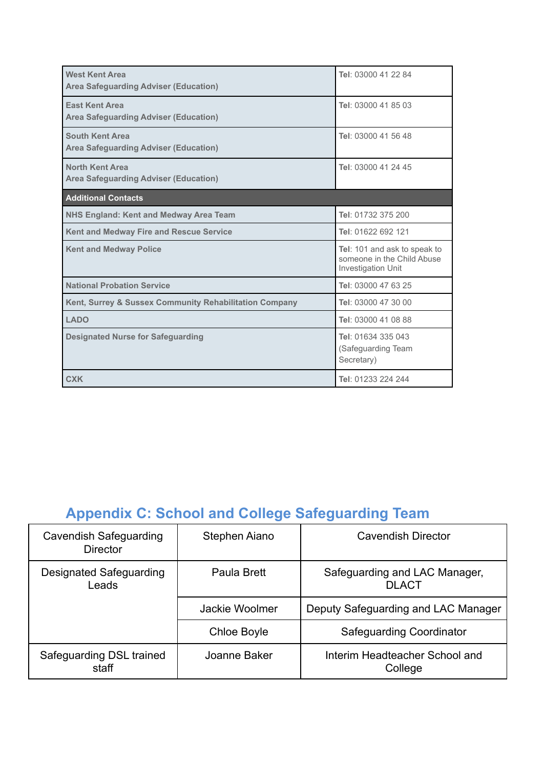| <b>West Kent Area</b><br><b>Area Safeguarding Adviser (Education)</b>  | Tel: 03000 41 22 84                                                              |
|------------------------------------------------------------------------|----------------------------------------------------------------------------------|
| <b>Fast Kent Area</b><br><b>Area Safeguarding Adviser (Education)</b>  | Tel: 03000 41 85 03                                                              |
| <b>South Kent Area</b><br><b>Area Safeguarding Adviser (Education)</b> | Tel: 03000 41 56 48                                                              |
| <b>North Kent Area</b><br><b>Area Safeguarding Adviser (Education)</b> | Tel: 03000 41 24 45                                                              |
| <b>Additional Contacts</b>                                             |                                                                                  |
| <b>NHS England: Kent and Medway Area Team</b>                          | Tel: 01732 375 200                                                               |
| Kent and Medway Fire and Rescue Service                                | Tel: 01622 692 121                                                               |
| <b>Kent and Medway Police</b>                                          | Tel: 101 and ask to speak to<br>someone in the Child Abuse<br>Investigation Unit |
| <b>National Probation Service</b>                                      | Tel: 03000 47 63 25                                                              |
| Kent, Surrey & Sussex Community Rehabilitation Company                 | Tel: 03000 47 30 00                                                              |
| <b>LADO</b>                                                            | Tel: 03000 41 08 88                                                              |
| <b>Designated Nurse for Safeguarding</b>                               | Tel: 01634 335 043<br>(Safeguarding Team<br>Secretary)                           |
| <b>CXK</b>                                                             | Tel: 01233 224 244                                                               |

## **Appendix C: School and College Safeguarding Team**

| <b>Cavendish Safeguarding</b><br><b>Director</b> | Stephen Aiano      | <b>Cavendish Director</b>                     |
|--------------------------------------------------|--------------------|-----------------------------------------------|
| Designated Safeguarding<br>Leads                 | Paula Brett        | Safeguarding and LAC Manager,<br><b>DLACT</b> |
|                                                  | Jackie Woolmer     | Deputy Safeguarding and LAC Manager           |
|                                                  | <b>Chloe Boyle</b> | <b>Safeguarding Coordinator</b>               |
| Safeguarding DSL trained<br>staff                | Joanne Baker       | Interim Headteacher School and<br>College     |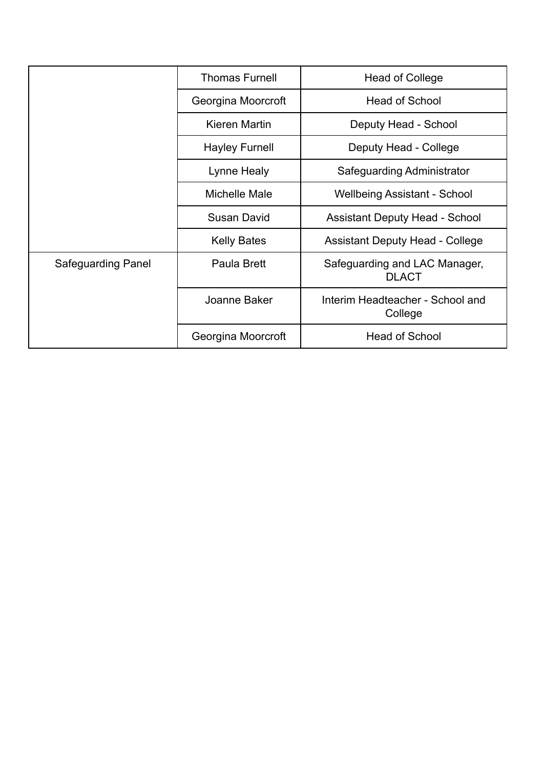|                           | <b>Thomas Furnell</b> | Head of College                               |  |
|---------------------------|-----------------------|-----------------------------------------------|--|
|                           | Georgina Moorcroft    | <b>Head of School</b>                         |  |
|                           | Kieren Martin         | Deputy Head - School                          |  |
|                           | <b>Hayley Furnell</b> | Deputy Head - College                         |  |
|                           | Lynne Healy           | Safeguarding Administrator                    |  |
|                           | Michelle Male         | <b>Wellbeing Assistant - School</b>           |  |
|                           | Susan David           | <b>Assistant Deputy Head - School</b>         |  |
|                           | <b>Kelly Bates</b>    | <b>Assistant Deputy Head - College</b>        |  |
| <b>Safeguarding Panel</b> | Paula Brett           | Safeguarding and LAC Manager,<br><b>DLACT</b> |  |
|                           | Joanne Baker          | Interim Headteacher - School and<br>College   |  |
|                           | Georgina Moorcroft    | <b>Head of School</b>                         |  |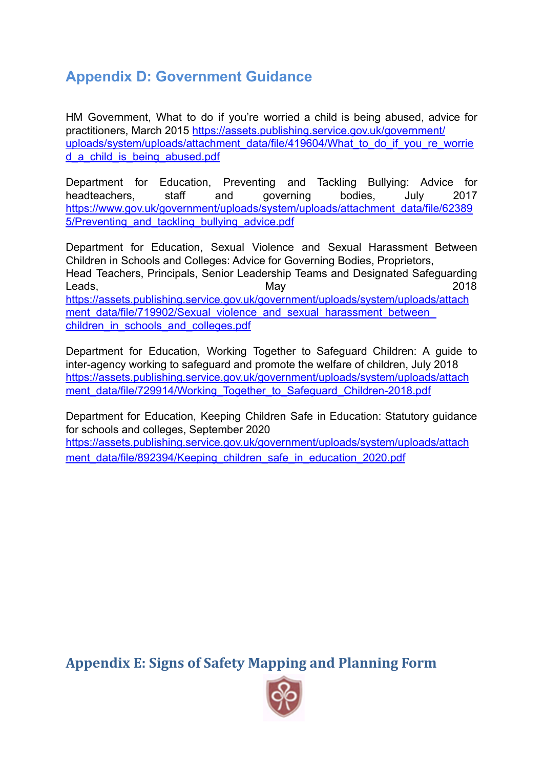### **Appendix D: Government Guidance**

HM Government, What to do if you're worried a child is being abused, advice for practitioners, March 2015 [https://assets.publishing.service.gov.uk/government/](https://assets.publishing.service.gov.uk/government/uploads/system/uploads/attachment_data/file/419604/What_to_do_if_you_re_worried_a_child_is_being_abused.pdf) [uploads/system/uploads/attachment\\_data/file/419604/What\\_to\\_do\\_if\\_you\\_re\\_worrie](https://assets.publishing.service.gov.uk/government/uploads/system/uploads/attachment_data/file/419604/What_to_do_if_you_re_worried_a_child_is_being_abused.pdf) [d\\_a\\_child\\_is\\_being\\_abused.pdf](https://assets.publishing.service.gov.uk/government/uploads/system/uploads/attachment_data/file/419604/What_to_do_if_you_re_worried_a_child_is_being_abused.pdf)

Department for Education, Preventing and Tackling Bullying: Advice for headteachers, staff and governing bodies, July 2017 [https://www.gov.uk/government/uploads/system/uploads/attachment\\_data/file/62389](https://www.gov.uk/government/uploads/system/uploads/attachment_data/file/623895/Preventing_and_tackling_bullying_advice.pdf) [5/Preventing\\_and\\_tackling\\_bullying\\_advice.pdf](https://www.gov.uk/government/uploads/system/uploads/attachment_data/file/623895/Preventing_and_tackling_bullying_advice.pdf)

Department for Education, Sexual Violence and Sexual Harassment Between Children in Schools and Colleges: Advice for Governing Bodies, Proprietors, Head Teachers, Principals, Senior Leadership Teams and Designated Safeguarding Leads, May 2018 [https://assets.publishing.service.gov.uk/government/uploads/system/uploads/attach](https://assets.publishing.service.gov.uk/government/uploads/system/uploads/attachment_data/file/719902/Sexual_violence_and_sexual_harassment_between_children_in_schools_and_colleges.pdf) ment\_data/file/719902/Sexual\_violence\_and\_sexual\_harassment\_between [children\\_in\\_schools\\_and\\_colleges.pdf](https://assets.publishing.service.gov.uk/government/uploads/system/uploads/attachment_data/file/719902/Sexual_violence_and_sexual_harassment_between_children_in_schools_and_colleges.pdf)

Department for Education, Working Together to Safeguard Children: A guide to inter-agency working to safeguard and promote the welfare of children, July 2018 [https://assets.publishing.service.gov.uk/government/uploads/system/uploads/attach](https://assets.publishing.service.gov.uk/government/uploads/system/uploads/attachment_data/file/729914/Working_Together_to_Safeguard_Children-2018.pdf) [ment\\_data/file/729914/Working\\_Together\\_to\\_Safeguard\\_Children-2018.pdf](https://assets.publishing.service.gov.uk/government/uploads/system/uploads/attachment_data/file/729914/Working_Together_to_Safeguard_Children-2018.pdf)

Department for Education, Keeping Children Safe in Education: Statutory guidance for schools and colleges, September 2020

[https://assets.publishing.service.gov.uk/government/uploads/system/uploads/attach](https://assets.publishing.service.gov.uk/government/uploads/system/uploads/attachment_data/file/892394/Keeping_children_safe_in_education_2020.pdf) [ment\\_data/file/892394/Keeping\\_children\\_safe\\_in\\_education\\_2020.pdf](https://assets.publishing.service.gov.uk/government/uploads/system/uploads/attachment_data/file/892394/Keeping_children_safe_in_education_2020.pdf)

**Appendix E: Signs of Safety Mapping and Planning Form**

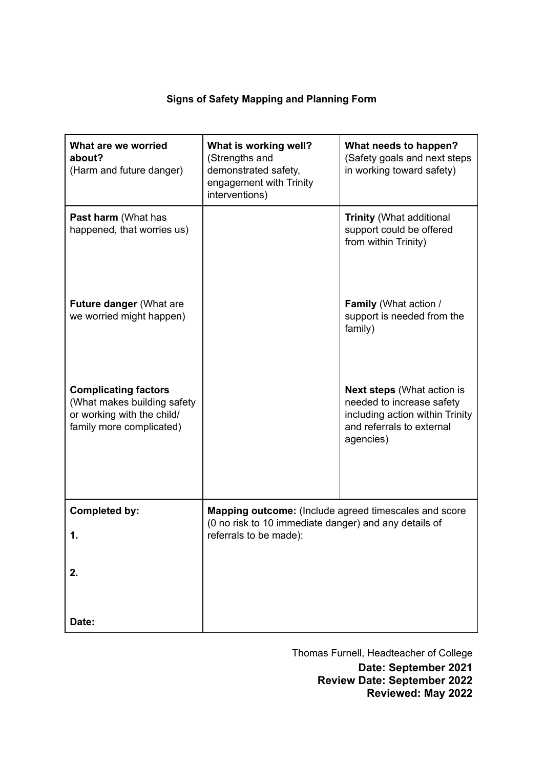#### **Signs of Safety Mapping and Planning Form**

| What are we worried<br>about?<br>(Harm and future danger)                                                            | What is working well?<br>(Strengths and<br>demonstrated safety,<br>engagement with Trinity<br>interventions)                             | What needs to happen?<br>(Safety goals and next steps<br>in working toward safety)                                                          |
|----------------------------------------------------------------------------------------------------------------------|------------------------------------------------------------------------------------------------------------------------------------------|---------------------------------------------------------------------------------------------------------------------------------------------|
| <b>Past harm (What has</b><br>happened, that worries us)                                                             |                                                                                                                                          | <b>Trinity (What additional</b><br>support could be offered<br>from within Trinity)                                                         |
| Future danger (What are<br>we worried might happen)                                                                  |                                                                                                                                          | <b>Family (What action /</b><br>support is needed from the<br>family)                                                                       |
| <b>Complicating factors</b><br>(What makes building safety<br>or working with the child/<br>family more complicated) |                                                                                                                                          | <b>Next steps (What action is</b><br>needed to increase safety<br>including action within Trinity<br>and referrals to external<br>agencies) |
| <b>Completed by:</b><br>1.                                                                                           | Mapping outcome: (Include agreed timescales and score<br>(0 no risk to 10 immediate danger) and any details of<br>referrals to be made): |                                                                                                                                             |
| 2.                                                                                                                   |                                                                                                                                          |                                                                                                                                             |
| Date:                                                                                                                |                                                                                                                                          |                                                                                                                                             |

Thomas Furnell, Headteacher of College

**Date: September 2021 Review Date: September 2022 Reviewed: May 2022**